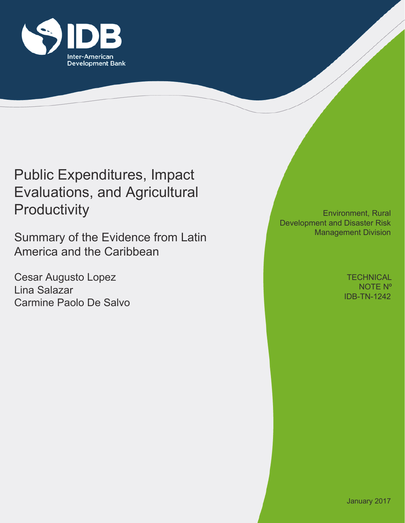

# Public Expenditures, Impact Evaluations, and Agricultural **Productivity**

Summary of the Evidence from Latin America and the Caribbean

Cesar Augusto Lopez Lina Salazar <u>Carmine Paolo De Salvo III (Carmine Paolo De Salvo</u> III) est antico a la contrata de la contrata de la contrata<br>Internacionale paolo De Salvo III (Carmine Paolo III) est antico de la contrata de la contrata de la contrata

Environment, Rural Development and Disaster Risk Management Division

> **TECHNICAL** NOTE Nº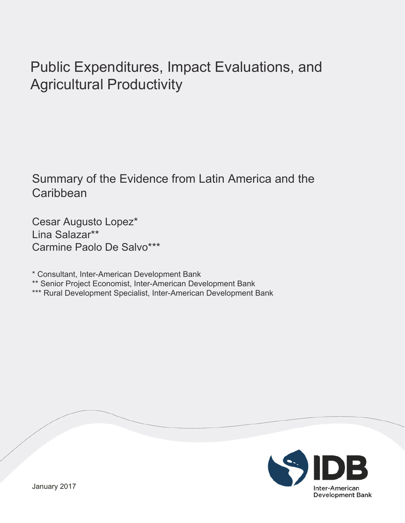# Public Expenditures, Impact Evaluations, and Agricultural Productivity

## Summary of the Evidence from Latin America and the **Caribbean**

Cesar Augusto Lopez\* Lina Salazar\*\* Carmine Paolo De Salvo\*\*\*

\* Consultant, Inter-American Development Bank

\*\* Senior Project Economist, Inter-American Development Bank

\*\*\* Rural Development Specialist, Inter-American Development Bank

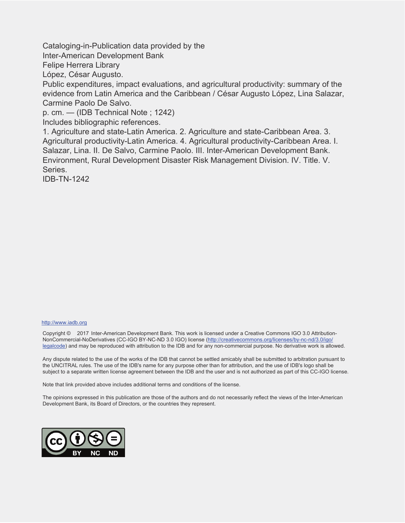Cataloging-in-Publication data provided by the

Inter-American Development Bank

Felipe Herrera Library

López, César Augusto.

Public expenditures, impact evaluations, and agricultural productivity: summary of the evidence from Latin America and the Caribbean / César Augusto López, Lina Salazar, Carmine Paolo De Salvo.

p. cm. — (IDB Technical Note ; 1242)

Includes bibliographic references.

1. Agriculture and state-Latin America. 2. Agriculture and state-Caribbean Area. 3. Agricultural productivity-Latin America. 4. Agricultural productivity-Caribbean Area. I. Salazar, Lina. II. De Salvo, Carmine Paolo. III. Inter-American Development Bank. Environment, Rural Development Disaster Risk Management Division. IV. Title. V. Series.

IDB-TN-1242

#### http://www.iadb.org

Copyright © 2017 Inter-American Development Bank. This work is licensed under a Creative Commons IGO 3.0 Attribution-NonCommercial-NoDerivatives (CC-IGO BY-NC-ND 3.0 IGO) license (http://creativecommons.org/licenses/by-nc-nd/3.0/igo/ legalcode) and may be reproduced with attribution to the IDB and for any non-commercial purpose. No derivative work is allowed.

Any dispute related to the use of the works of the IDB that cannot be settled amicably shall be submitted to arbitration pursuant to the UNCITRAL rules. The use of the IDB's name for any purpose other than for attribution, and the use of IDB's logo shall be subject to a separate written license agreement between the IDB and the user and is not authorized as part of this CC-IGO license.

Note that link provided above includes additional terms and conditions of the license.

The opinions expressed in this publication are those of the authors and do not necessarily reflect the views of the Inter-American Development Bank, its Board of Directors, or the countries they represent.

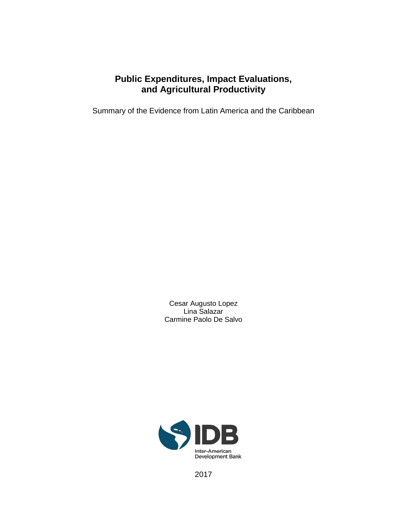## **Public Expenditures, Impact Evaluations, and Agricultural Productivity**

Summary of the Evidence from Latin America and the Caribbean

Cesar Augusto Lopez Lina Salazar Carmine Paolo De Salvo



2017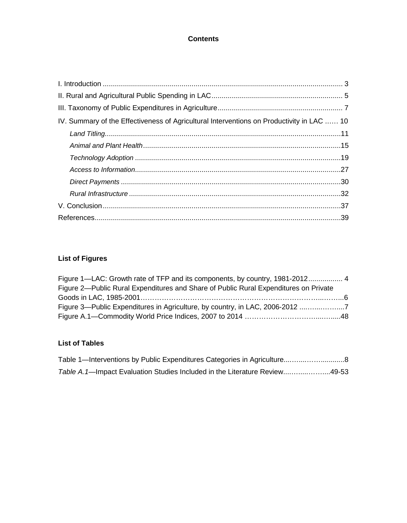### **Contents**

| IV. Summary of the Effectiveness of Agricultural Interventions on Productivity in LAC  10 |
|-------------------------------------------------------------------------------------------|
|                                                                                           |
|                                                                                           |
|                                                                                           |
|                                                                                           |
|                                                                                           |
|                                                                                           |
|                                                                                           |
|                                                                                           |

### **List of Figures**

| Figure 1—LAC: Growth rate of TFP and its components, by country, 1981-2012 4         |  |
|--------------------------------------------------------------------------------------|--|
| Figure 2—Public Rural Expenditures and Share of Public Rural Expenditures on Private |  |
|                                                                                      |  |
|                                                                                      |  |
|                                                                                      |  |

### **List of Tables**

| Table 1—Interventions by Public Expenditures Categories in Agriculture8    |  |
|----------------------------------------------------------------------------|--|
| Table A.1—Impact Evaluation Studies Included in the Literature Review49-53 |  |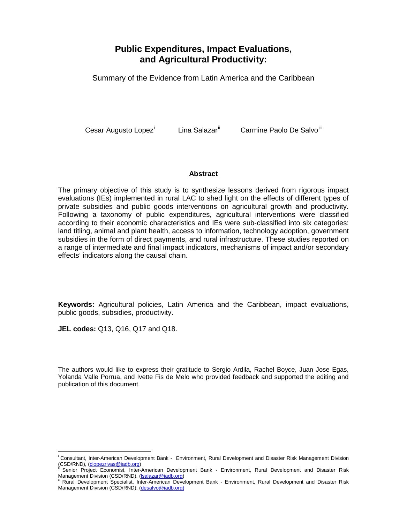## **Public Expenditures, Impact Evaluations, and Agricultural Productivity:**

Summary of the Evidence from Latin America and the Caribbean

Cesar Augusto Lopez<sup>[i](#page-5-0)</sup> Lina Salazar<sup>[ii](#page-5-1)</sup> Carmine Paolo De Salvo<sup>ili</sup>

#### **Abstract**

The primary objective of this study is to synthesize lessons derived from rigorous impact evaluations (IEs) implemented in rural LAC to shed light on the effects of different types of private subsidies and public goods interventions on agricultural growth and productivity. Following a taxonomy of public expenditures, agricultural interventions were classified according to their economic characteristics and IEs were sub-classified into six categories: land titling, animal and plant health, access to information, technology adoption, government subsidies in the form of direct payments, and rural infrastructure. These studies reported on a range of intermediate and final impact indicators, mechanisms of impact and/or secondary effects' indicators along the causal chain.

**Keywords:** Agricultural policies, Latin America and the Caribbean, impact evaluations, public goods, subsidies, productivity.

**JEL codes:** Q13, Q16, Q17 and Q18.

 $\overline{a}$ 

The authors would like to express their gratitude to Sergio Ardila, Rachel Boyce, Juan Jose Egas, Yolanda Valle Porrua, and Ivette Fis de Melo who provided feedback and supported the editing and publication of this document.

i Consultant, Inter-American Development Bank - Environment, Rural Development and Disaster Risk Management Division

<span id="page-5-1"></span><span id="page-5-0"></span><sup>(</sup>CSD/RND), [\(clopezrivas@iadb.org\)](mailto:clopezrivas@iadb.org)<br><sup>ii</sup> Senior Project Economist, Inter-American Development Bank - Environment, Rural Development and Disaster Risk<br>Management Division (CSD/RND), (<u>Isalazar@iadb.org</u>)

<span id="page-5-2"></span>Rural Development Specialist, Inter-American Development Bank - Environment, Rural Development and Disaster Risk Management Division (CSD/RND), [\(desalvo@iadb.org\)](mailto:desalvo@iadb.org)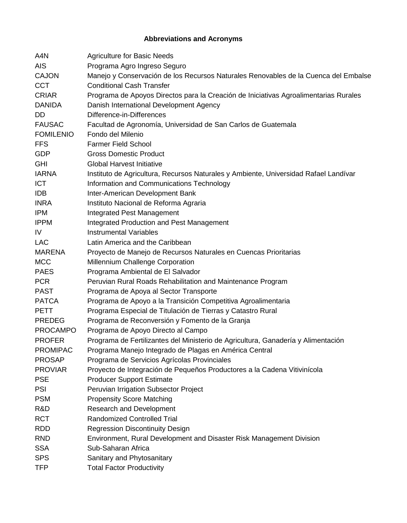### **Abbreviations and Acronyms**

| A4N              | <b>Agriculture for Basic Needs</b>                                                   |
|------------------|--------------------------------------------------------------------------------------|
| <b>AIS</b>       | Programa Agro Ingreso Seguro                                                         |
| <b>CAJON</b>     | Manejo y Conservación de los Recursos Naturales Renovables de la Cuenca del Embalse  |
| <b>CCT</b>       | <b>Conditional Cash Transfer</b>                                                     |
| <b>CRIAR</b>     | Programa de Apoyos Directos para la Creación de Iniciativas Agroalimentarias Rurales |
| <b>DANIDA</b>    | Danish International Development Agency                                              |
| <b>DD</b>        | Difference-in-Differences                                                            |
| <b>FAUSAC</b>    | Facultad de Agronomía, Universidad de San Carlos de Guatemala                        |
| <b>FOMILENIO</b> | Fondo del Milenio                                                                    |
| <b>FFS</b>       | <b>Farmer Field School</b>                                                           |
| <b>GDP</b>       | <b>Gross Domestic Product</b>                                                        |
| <b>GHI</b>       | <b>Global Harvest Initiative</b>                                                     |
| <b>IARNA</b>     | Instituto de Agricultura, Recursos Naturales y Ambiente, Universidad Rafael Landívar |
| <b>ICT</b>       | Information and Communications Technology                                            |
| <b>IDB</b>       | Inter-American Development Bank                                                      |
| <b>INRA</b>      | Instituto Nacional de Reforma Agraria                                                |
| <b>IPM</b>       | Integrated Pest Management                                                           |
| <b>IPPM</b>      | Integrated Production and Pest Management                                            |
| IV               | <b>Instrumental Variables</b>                                                        |
| <b>LAC</b>       | Latin America and the Caribbean                                                      |
| <b>MARENA</b>    | Proyecto de Manejo de Recursos Naturales en Cuencas Prioritarias                     |
| <b>MCC</b>       | Millennium Challenge Corporation                                                     |
| <b>PAES</b>      | Programa Ambiental de El Salvador                                                    |
| <b>PCR</b>       | Peruvian Rural Roads Rehabilitation and Maintenance Program                          |
| <b>PAST</b>      | Programa de Apoya al Sector Transporte                                               |
| <b>PATCA</b>     | Programa de Apoyo a la Transición Competitiva Agroalimentaria                        |
| <b>PETT</b>      | Programa Especial de Titulación de Tierras y Catastro Rural                          |
| <b>PREDEG</b>    | Programa de Reconversión y Fomento de la Granja                                      |
| <b>PROCAMPO</b>  | Programa de Apoyo Directo al Campo                                                   |
| <b>PROFER</b>    | Programa de Fertilizantes del Ministerio de Agricultura, Ganadería y Alimentación    |
| <b>PROMIPAC</b>  | Programa Manejo Integrado de Plagas en América Central                               |
| <b>PROSAP</b>    | Programa de Servicios Agrícolas Provinciales                                         |
| <b>PROVIAR</b>   | Proyecto de Integración de Pequeños Productores a la Cadena Vitivinícola             |
| <b>PSE</b>       | <b>Producer Support Estimate</b>                                                     |
| <b>PSI</b>       | Peruvian Irrigation Subsector Project                                                |
| <b>PSM</b>       | <b>Propensity Score Matching</b>                                                     |
| R&D              | <b>Research and Development</b>                                                      |
| <b>RCT</b>       | <b>Randomized Controlled Trial</b>                                                   |
| <b>RDD</b>       | <b>Regression Discontinuity Design</b>                                               |
| <b>RND</b>       | Environment, Rural Development and Disaster Risk Management Division                 |
| <b>SSA</b>       | Sub-Saharan Africa                                                                   |
| <b>SPS</b>       | Sanitary and Phytosanitary                                                           |
| <b>TFP</b>       | <b>Total Factor Productivity</b>                                                     |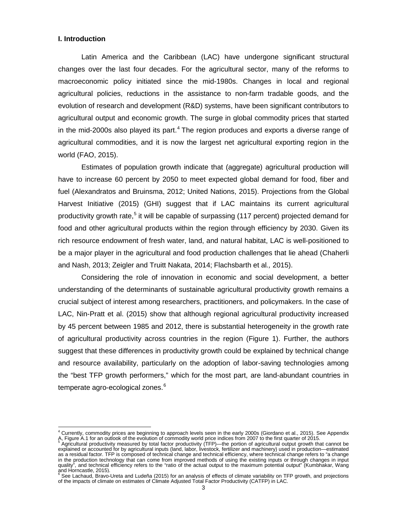#### <span id="page-7-0"></span>**I. Introduction**

 $\overline{\phantom{a}}$ 

Latin America and the Caribbean (LAC) have undergone significant structural changes over the last four decades. For the agricultural sector, many of the reforms to macroeconomic policy initiated since the mid-1980s. Changes in local and regional agricultural policies, reductions in the assistance to non-farm tradable goods, and the evolution of research and development (R&D) systems, have been significant contributors to agricultural output and economic growth. The surge in global commodity prices that started in the mid-2000s also played its part.<sup>[4](#page-7-1)</sup> The region produces and exports a diverse range of agricultural commodities, and it is now the largest net agricultural exporting region in the world (FAO, 2015).

Estimates of population growth indicate that (aggregate) agricultural production will have to increase 60 percent by 2050 to meet expected global demand for food, fiber and fuel (Alexandratos and Bruinsma, 2012; United Nations, 2015). Projections from the Global Harvest Initiative (2015) (GHI) suggest that if LAC maintains its current agricultural productivity growth rate,<sup>[5](#page-7-2)</sup> it will be capable of surpassing (117 percent) projected demand for food and other agricultural products within the region through efficiency by 2030. Given its rich resource endowment of fresh water, land, and natural habitat, LAC is well-positioned to be a major player in the agricultural and food production challenges that lie ahead (Chaherli and Nash, 2013; Zeigler and Truitt Nakata, 2014; Flachsbarth et al*.,* 2015).

Considering the role of innovation in economic and social development, a better understanding of the determinants of sustainable agricultural productivity growth remains a crucial subject of interest among researchers, practitioners, and policymakers. In the case of LAC, Nin-Pratt et al. (2015) show that although regional agricultural productivity increased by 45 percent between 1985 and 2012, there is substantial heterogeneity in the growth rate of agricultural productivity across countries in the region (Figure 1). Further, the authors suggest that these differences in productivity growth could be explained by technical change and resource availability, particularly on the adoption of labor-saving technologies among the "best TFP growth performers," which for the most part, are land-abundant countries in temperate agro-ecological zones.<sup>[6](#page-7-3)</sup>

<span id="page-7-1"></span><sup>&</sup>lt;sup>4</sup> Currently, commodity prices are beginning to approach levels seen in the early 2000s (Giordano et al., 2015). See Appendix A, Figure A.1 for an outlook of the evolution of commodity world price indices from 2007 to the first quarter of 2015.<br><sup>5</sup> Agricultural productivity measured by total factor productivity (TFP)—the portion of agricultural o

<span id="page-7-2"></span>explained or accounted for by agricultural inputs (land, labor, livestock, fertilizer and machinery) used in production—estimated as a residual factor. TFP is composed of technical change and technical efficiency, where technical change refers to "a change in the production technology that can come from improved methods of using the existing inputs or through changes in input quality", and technical efficiency refers to the "ratio of the actual output to the maximum potential output" (Kumbhakar, Wang

<span id="page-7-3"></span>and Horncastle, 2015). <sup>6</sup> See Lachaud, Bravo-Ureta and Ludeña (2015) for an analysis of effects of climate variability on TFP growth, and projections of the impacts of climate on estimates of Climate Adjusted Total Factor Productivity (CATFP) in LAC.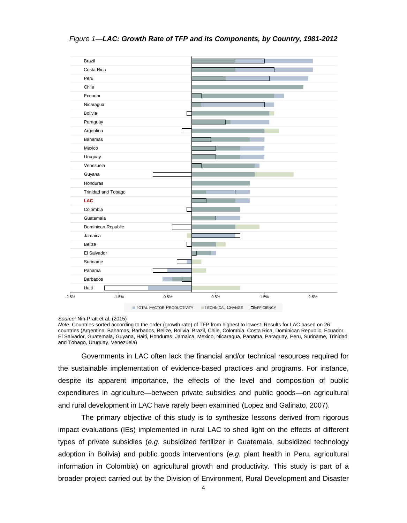<span id="page-8-0"></span>*Figure 1—LAC: Growth Rate of TFP and its Components, by Country, 1981-2012*



#### *Source:* Nin-Pratt et al. (2015)

*Note:* Countries sorted according to the order (growth rate) of TFP from highest to lowest. Results for LAC based on 26 countries (Argentina, Bahamas, Barbados, Belize, Bolivia, Brazil, Chile, Colombia, Costa Rica, Dominican Republic, Ecuador, El Salvador, Guatemala, Guyana, Haiti, Honduras, Jamaica, Mexico, Nicaragua, Panama, Paraguay, Peru, Suriname, Trinidad and Tobago, Uruguay, Venezuela)

Governments in LAC often lack the financial and/or technical resources required for the sustainable implementation of evidence-based practices and programs. For instance, despite its apparent importance, the effects of the level and composition of public expenditures in agriculture—between private subsidies and public goods—on agricultural and rural development in LAC have rarely been examined (Lopez and Galinato, 2007).

The primary objective of this study is to synthesize lessons derived from rigorous impact evaluations (IEs) implemented in rural LAC to shed light on the effects of different types of private subsidies (*e.g*. subsidized fertilizer in Guatemala, subsidized technology adoption in Bolivia) and public goods interventions (*e.g.* plant health in Peru, agricultural information in Colombia) on agricultural growth and productivity. This study is part of a broader project carried out by the Division of Environment, Rural Development and Disaster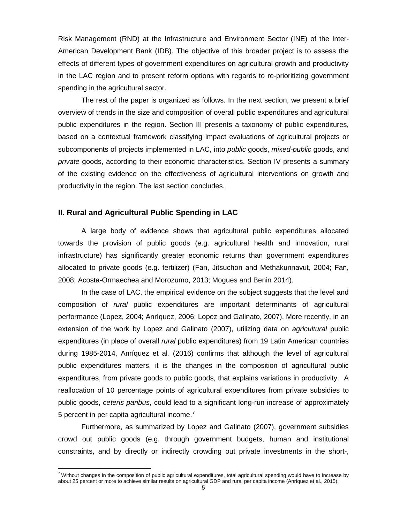Risk Management (RND) at the Infrastructure and Environment Sector (INE) of the Inter-American Development Bank (IDB). The objective of this broader project is to assess the effects of different types of government expenditures on agricultural growth and productivity in the LAC region and to present reform options with regards to re-prioritizing government spending in the agricultural sector.

The rest of the paper is organized as follows. In the next section, we present a brief overview of trends in the size and composition of overall public expenditures and agricultural public expenditures in the region. Section III presents a taxonomy of public expenditures, based on a contextual framework classifying impact evaluations of agricultural projects or subcomponents of projects implemented in LAC, into *public* goods, *mixed-public* goods, and *private* goods, according to their economic characteristics. Section IV presents a summary of the existing evidence on the effectiveness of agricultural interventions on growth and productivity in the region. The last section concludes.

#### <span id="page-9-0"></span>**II. Rural and Agricultural Public Spending in LAC**

 $\overline{a}$ 

A large body of evidence shows that agricultural public expenditures allocated towards the provision of public goods (e.g. agricultural health and innovation, rural infrastructure) has significantly greater economic returns than government expenditures allocated to private goods (e.g. fertilizer) (Fan, Jitsuchon and Methakunnavut, 2004; Fan, 2008; Acosta-Ormaechea and Morozumo, 2013; Mogues and Benin 2014).

In the case of LAC, the empirical evidence on the subject suggests that the level and composition of *rural* public expenditures are important determinants of agricultural performance (Lopez, 2004; Anríquez, 2006; Lopez and Galinato, 2007). More recently, in an extension of the work by Lopez and Galinato (2007), utilizing data on *agricultural* public expenditures (in place of overall *rural* public expenditures) from 19 Latin American countries during 1985-2014, Anríquez et al*.* (2016) confirms that although the level of agricultural public expenditures matters, it is the changes in the composition of agricultural public expenditures, from private goods to public goods, that explains variations in productivity. A reallocation of 10 percentage points of agricultural expenditures from private subsidies to public goods, *ceteris paribus*, could lead to a significant long-run increase of approximately 5 percent in per capita agricultural income.<sup>[7](#page-9-1)</sup>

Furthermore, as summarized by Lopez and Galinato (2007), government subsidies crowd out public goods (e.g. through government budgets, human and institutional constraints, and by directly or indirectly crowding out private investments in the short-,

<span id="page-9-1"></span> $7$  Without changes in the composition of public agricultural expenditures, total agricultural spending would have to increase by about 25 percent or more to achieve similar results on agricultural GDP and rural per capita income (Anríquez et al., 2015).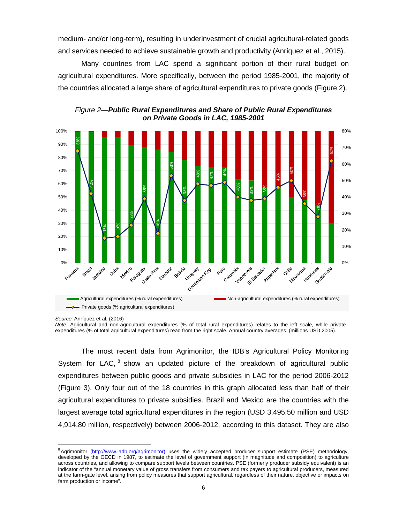medium- and/or long-term), resulting in underinvestment of crucial agricultural-related goods and services needed to achieve sustainable growth and productivity (Anríquez et al., 2015).

Many countries from LAC spend a significant portion of their rural budget on agricultural expenditures. More specifically, between the period 1985-2001, the majority of the countries allocated a large share of agricultural expenditures to private goods (Figure 2).



*Figure 2—Public Rural Expenditures and Share of Public Rural Expenditures on Private Goods in LAC, 1985-2001*

The most recent data from Agrimonitor, the IDB's Agricultural Policy Monitoring System for LAC, <sup>[8](#page-10-0)</sup> show an updated picture of the breakdown of agricultural public expenditures between public goods and private subsidies in LAC for the period 2006-2012 (Figure 3). Only four out of the 18 countries in this graph allocated less than half of their agricultural expenditures to private subsidies. Brazil and Mexico are the countries with the largest average total agricultural expenditures in the region (USD 3,495.50 million and USD 4,914.80 million, respectively) between 2006-2012, according to this dataset. They are also

*Source:* Anríquez et al*.* (2016)

*Note:* Agricultural and non-agricultural expenditures (% of total rural expenditures) relates to the left scale, while private expenditures (% of total agricultural expenditures) read from the right scale. Annual country averages, (millions USD 2005).

<span id="page-10-0"></span> $\overline{a}$ <sup>8</sup>Agrimonitor [\(http://www.iadb.org/agrimonitor\)](http://www.iadb.org/agrimonitor)) uses the widely accepted producer support estimate (PSE) methodology, developed by the OECD in 1987, to estimate the level of government support (in magnitude and composition) to agriculture across countries, and allowing to compare support levels between countries. PSE (formerly producer subsidy equivalent) is an indicator of the "annual monetary value of gross transfers from consumers and tax payers to agricultural producers, measured at the farm-gate level, arising from policy measures that support agricultural, regardless of their nature, objective or impacts on farm production or income".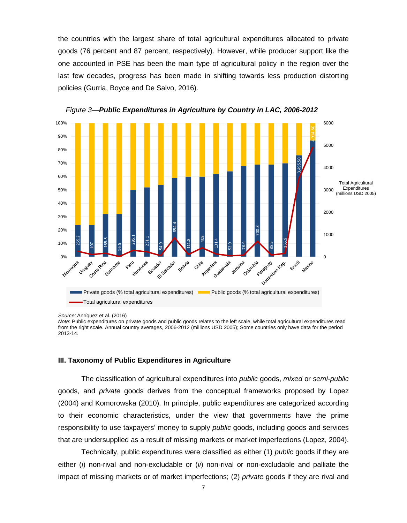the countries with the largest share of total agricultural expenditures allocated to private goods (76 percent and 87 percent, respectively). However, while producer support like the one accounted in PSE has been the main type of agricultural policy in the region over the last few decades, progress has been made in shifting towards less production distorting policies (Gurria, Boyce and De Salvo, 2016).



*Figure 3—Public Expenditures in Agriculture by Country in LAC, 2006-2012*

*Source:* Anríquez et al*.* (2016)

*Note*: Public expenditures on private goods and public goods relates to the left scale, while total agricultural expenditures read from the right scale. Annual country averages, 2006-2012 (millions USD 2005); Some countries only have data for the period 2013-14.

#### <span id="page-11-0"></span>**III. Taxonomy of Public Expenditures in Agriculture**

The classification of agricultural expenditures into *public* goods, *mixed* or *semi-public*  goods, and *private* goods derives from the conceptual frameworks proposed by Lopez (2004) and Komorowska (2010). In principle, public expenditures are categorized according to their economic characteristics, under the view that governments have the prime responsibility to use taxpayers' money to supply *public* goods, including goods and services that are undersupplied as a result of missing markets or market imperfections (Lopez, 2004).

Technically, public expenditures were classified as either (1) *public* goods if they are either (*i*) non-rival and non-excludable or (*ii*) non-rival or non-excludable and palliate the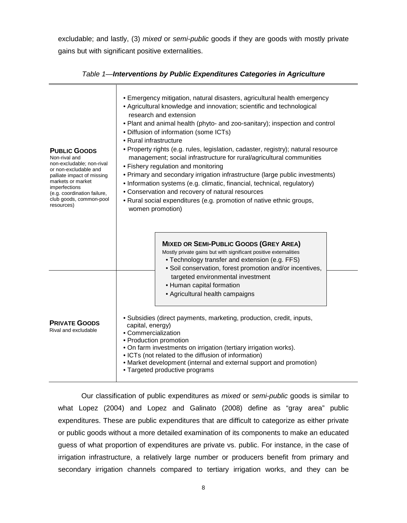excludable; and lastly, (3) *mixed* or *semi-public* goods if they are goods with mostly private gains but with significant positive externalities.

| <b>PUBLIC GOODS</b><br>Non-rival and<br>non-excludable; non-rival<br>or non-excludable and<br>palliate impact of missing<br>markets or market<br>imperfections<br>(e.g. coordination failure,<br>club goods, common-pool<br>resources) | · Emergency mitigation, natural disasters, agricultural health emergency<br>• Agricultural knowledge and innovation; scientific and technological<br>research and extension<br>. Plant and animal health (phyto- and zoo-sanitary); inspection and control<br>• Diffusion of information (some ICTs)<br>• Rural infrastructure<br>• Property rights (e.g. rules, legislation, cadaster, registry); natural resource<br>management; social infrastructure for rural/agricultural communities<br>· Fishery regulation and monitoring<br>• Primary and secondary irrigation infrastructure (large public investments)<br>• Information systems (e.g. climatic, financial, technical, regulatory)<br>• Conservation and recovery of natural resources<br>• Rural social expenditures (e.g. promotion of native ethnic groups,<br>women promotion)<br><b>MIXED OR SEMI-PUBLIC GOODS (GREY AREA)</b><br>Mostly private gains but with significant positive externalities<br>• Technology transfer and extension (e.g. FFS) |
|----------------------------------------------------------------------------------------------------------------------------------------------------------------------------------------------------------------------------------------|----------------------------------------------------------------------------------------------------------------------------------------------------------------------------------------------------------------------------------------------------------------------------------------------------------------------------------------------------------------------------------------------------------------------------------------------------------------------------------------------------------------------------------------------------------------------------------------------------------------------------------------------------------------------------------------------------------------------------------------------------------------------------------------------------------------------------------------------------------------------------------------------------------------------------------------------------------------------------------------------------------------------|
| <b>PRIVATE GOODS</b><br>Rival and excludable                                                                                                                                                                                           | · Soil conservation, forest promotion and/or incentives,<br>targeted environmental investment<br>• Human capital formation<br>• Agricultural health campaigns<br>• Subsidies (direct payments, marketing, production, credit, inputs,<br>capital, energy)<br>• Commercialization<br>• Production promotion<br>. On farm investments on irrigation (tertiary irrigation works).<br>• ICTs (not related to the diffusion of information)<br>• Market development (internal and external support and promotion)<br>• Targeted productive programs                                                                                                                                                                                                                                                                                                                                                                                                                                                                       |

*Table 1—Interventions by Public Expenditures Categories in Agriculture*

Our classification of public expenditures as *mixed* or *semi-public* goods is similar to what Lopez (2004) and Lopez and Galinato (2008) define as "gray area" public expenditures. These are public expenditures that are difficult to categorize as either private or public goods without a more detailed examination of its components to make an educated guess of what proportion of expenditures are private vs. public. For instance, in the case of irrigation infrastructure, a relatively large number or producers benefit from primary and secondary irrigation channels compared to tertiary irrigation works, and they can be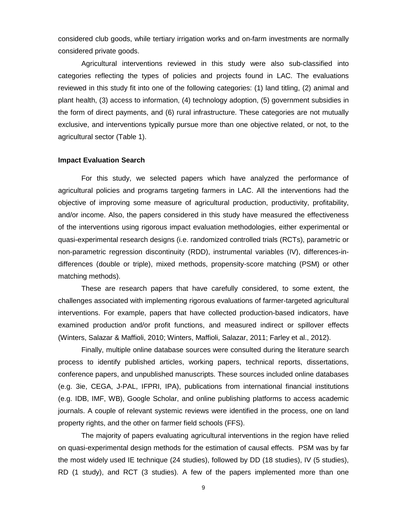considered club goods, while tertiary irrigation works and on-farm investments are normally considered private goods.

Agricultural interventions reviewed in this study were also sub-classified into categories reflecting the types of policies and projects found in LAC. The evaluations reviewed in this study fit into one of the following categories: (1) land titling, (2) animal and plant health, (3) access to information, (4) technology adoption, (5) government subsidies in the form of direct payments, and (6) rural infrastructure. These categories are not mutually exclusive, and interventions typically pursue more than one objective related, or not, to the agricultural sector (Table 1).

#### **Impact Evaluation Search**

For this study, we selected papers which have analyzed the performance of agricultural policies and programs targeting farmers in LAC. All the interventions had the objective of improving some measure of agricultural production, productivity, profitability, and/or income. Also, the papers considered in this study have measured the effectiveness of the interventions using rigorous impact evaluation methodologies, either experimental or quasi-experimental research designs (i.e. randomized controlled trials (RCTs), parametric or non-parametric regression discontinuity (RDD), instrumental variables (IV), differences-indifferences (double or triple), mixed methods, propensity-score matching (PSM) or other matching methods).

These are research papers that have carefully considered, to some extent, the challenges associated with implementing rigorous evaluations of farmer-targeted agricultural interventions. For example, papers that have collected production-based indicators, have examined production and/or profit functions, and measured indirect or spillover effects (Winters, Salazar & Maffioli, 2010; Winters, Maffioli, Salazar, 2011; Farley et al., 2012).

Finally, multiple online database sources were consulted during the literature search process to identify published articles, working papers, technical reports, dissertations, conference papers, and unpublished manuscripts. These sources included online databases (e.g. 3ie, CEGA, J-PAL, IFPRI, IPA), publications from international financial institutions (e.g. IDB, IMF, WB), Google Scholar, and online publishing platforms to access academic journals. A couple of relevant systemic reviews were identified in the process, one on land property rights, and the other on farmer field schools (FFS).

The majority of papers evaluating agricultural interventions in the region have relied on quasi-experimental design methods for the estimation of causal effects. PSM was by far the most widely used IE technique (24 studies), followed by DD (18 studies), IV (5 studies), RD (1 study), and RCT (3 studies). A few of the papers implemented more than one

9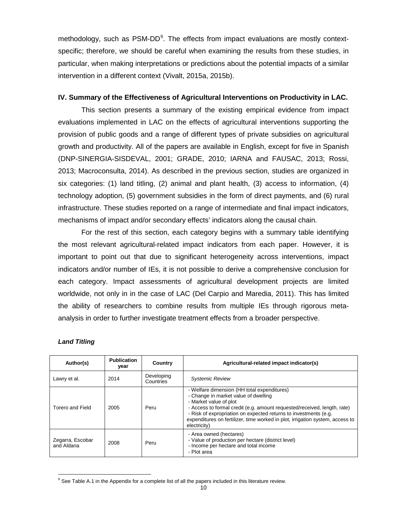methodology, such as PSM-DD<sup>[9](#page-14-1)</sup>. The effects from impact evaluations are mostly contextspecific; therefore, we should be careful when examining the results from these studies, in particular, when making interpretations or predictions about the potential impacts of a similar intervention in a different context (Vivalt, 2015a, 2015b).

#### **IV. Summary of the Effectiveness of Agricultural Interventions on Productivity in LAC.**

This section presents a summary of the existing empirical evidence from impact evaluations implemented in LAC on the effects of agricultural interventions supporting the provision of public goods and a range of different types of private subsidies on agricultural growth and productivity. All of the papers are available in English, except for five in Spanish (DNP-SINERGIA-SISDEVAL, 2001; GRADE, 2010; IARNA and FAUSAC, 2013; Rossi, 2013; Macroconsulta, 2014). As described in the previous section, studies are organized in six categories: (1) land titling, (2) animal and plant health, (3) access to information, (4) technology adoption, (5) government subsidies in the form of direct payments, and (6) rural infrastructure. These studies reported on a range of intermediate and final impact indicators, mechanisms of impact and/or secondary effects' indicators along the causal chain.

For the rest of this section, each category begins with a summary table identifying the most relevant agricultural-related impact indicators from each paper. However, it is important to point out that due to significant heterogeneity across interventions, impact indicators and/or number of IEs, it is not possible to derive a comprehensive conclusion for each category. Impact assessments of agricultural development projects are limited worldwide, not only in in the case of LAC (Del Carpio and Maredia, 2011). This has limited the ability of researchers to combine results from multiple IEs through rigorous metaanalysis in order to further investigate treatment effects from a broader perspective.

| Author(s)                      | <b>Publication</b><br>vear | Country                 | Agricultural-related impact indicator(s)                                                                                                                                                                                                                                                                                                                       |
|--------------------------------|----------------------------|-------------------------|----------------------------------------------------------------------------------------------------------------------------------------------------------------------------------------------------------------------------------------------------------------------------------------------------------------------------------------------------------------|
| Lawry et al.                   | 2014                       | Developing<br>Countries | <b>Systemic Review</b>                                                                                                                                                                                                                                                                                                                                         |
| Torero and Field               | 2005                       | Peru                    | - Welfare dimension (HH total expenditures)<br>- Change in market value of dwelling<br>- Market value of plot<br>- Access to formal credit (e.g. amount requested/received, length, rate)<br>- Risk of expropriation on expected returns to investments (e.g.<br>expenditures on fertilizer, time worked in plot, irrigation system, access to<br>electricity) |
| Zegarra, Escobar<br>and Aldana | 2008                       | Peru                    | - Area owned (hectares)<br>- Value of production per hectare (district level)<br>- Income per hectare and total income<br>- Plot area                                                                                                                                                                                                                          |

#### <span id="page-14-0"></span>*Land Titling*

<span id="page-14-1"></span> $9$  See Table A.1 in the Appendix for a complete list of all the papers included in this literature review.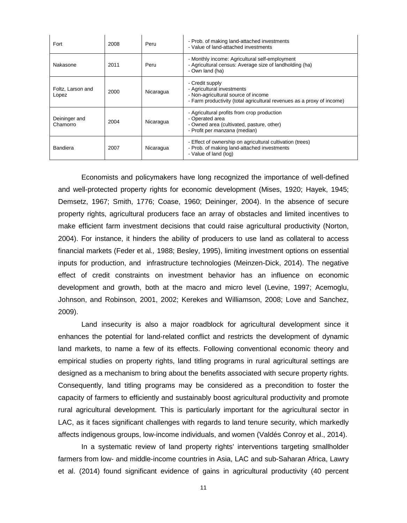| Fort                       | 2008 | Peru      | - Prob. of making land-attached investments<br>- Value of land-attached investments                                                                            |
|----------------------------|------|-----------|----------------------------------------------------------------------------------------------------------------------------------------------------------------|
| Nakasone                   | 2011 | Peru      | - Monthly income: Agricultural self-employment<br>- Agricultural census: Average size of landholding (ha)<br>- Own land (ha)                                   |
| Foltz, Larson and<br>Lopez | 2000 | Nicaragua | - Credit supply<br>- Agricultural investments<br>- Non-agricultural source of income<br>- Farm productivity (total agricultural revenues as a proxy of income) |
| Deininger and<br>Chamorro  | 2004 | Nicaragua | - Agricultural profits from crop production<br>- Operated area<br>- Owned area (cultivated, pasture, other)<br>- Profit per <i>manzana</i> (median)            |
| Bandiera                   | 2007 | Nicaragua | - Effect of ownership on agricultural cultivation (trees)<br>- Prob. of making land-attached investments<br>- Value of land (log)                              |

Economists and policymakers have long recognized the importance of well-defined and well-protected property rights for economic development (Mises, 1920; Hayek, 1945; Demsetz, 1967; Smith, 1776; Coase, 1960; Deininger, 2004). In the absence of secure property rights, agricultural producers face an array of obstacles and limited incentives to make efficient farm investment decisions that could raise agricultural productivity (Norton, 2004). For instance, it hinders the ability of producers to use land as collateral to access financial markets (Feder et al*.,* 1988; Besley, 1995), limiting investment options on essential inputs for production, and infrastructure technologies (Meinzen-Dick, 2014). The negative effect of credit constraints on investment behavior has an influence on economic development and growth, both at the macro and micro level (Levine, 1997; Acemoglu, Johnson, and Robinson, 2001, 2002; Kerekes and Williamson, 2008; Love and Sanchez, 2009).

Land insecurity is also a major roadblock for agricultural development since it enhances the potential for land-related conflict and restricts the development of dynamic land markets, to name a few of its effects. Following conventional economic theory and empirical studies on property rights, land titling programs in rural agricultural settings are designed as a mechanism to bring about the benefits associated with secure property rights. Consequently, land titling programs may be considered as a precondition to foster the capacity of farmers to efficiently and sustainably boost agricultural productivity and promote rural agricultural development. This is particularly important for the agricultural sector in LAC, as it faces significant challenges with regards to land tenure security, which markedly affects indigenous groups, low-income individuals, and women (Valdés Conroy et al., 2014).

In a systematic review of land property rights' interventions targeting smallholder farmers from low- and middle-income countries in Asia, LAC and sub-Saharan Africa, Lawry et al. (2014) found significant evidence of gains in agricultural productivity (40 percent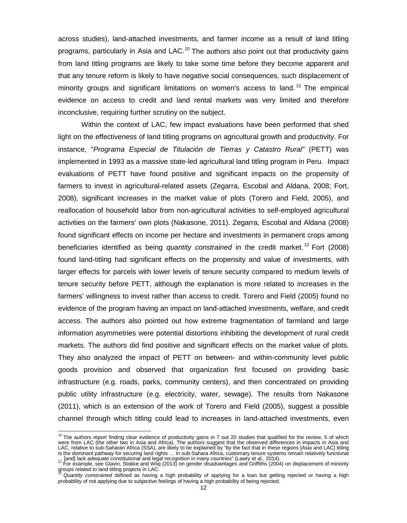across studies), land-attached investments, and farmer income as a result of land titling programs, particularly in Asia and LAC.<sup>[10](#page-16-0)</sup> The authors also point out that productivity gains from land titling programs are likely to take some time before they become apparent and that any tenure reform is likely to have negative social consequences, such displacement of minority groups and significant limitations on women's access to land.<sup>[11](#page-16-1)</sup> The empirical evidence on access to credit and land rental markets was very limited and therefore inconclusive, requiring further scrutiny on the subject.

Within the context of LAC, few impact evaluations have been performed that shed light on the effectiveness of land titling programs on agricultural growth and productivity. For instance, "*Programa Especial de Titulación de Tierras y Catastro Rural"* (PETT) was implemented in 1993 as a massive state-led agricultural land titling program in Peru. Impact evaluations of PETT have found positive and significant impacts on the propensity of farmers to invest in agricultural-related assets (Zegarra, Escobal and Aldana, 2008; Fort, 2008), significant increases in the market value of plots (Torero and Field, 2005), and reallocation of household labor from non-agricultural activities to self-employed agricultural activities on the farmers' own plots (Nakasone, 2011). Zegarra, Escobal and Aldana (2008) found significant effects on income per hectare and investments in permanent crops among beneficiaries identified as being *quantity constrained* in the credit market.<sup>[12](#page-16-2)</sup> Fort (2008) found land-titling had significant effects on the propensity and value of investments, with larger effects for parcels with lower levels of tenure security compared to medium levels of tenure security before PETT, although the explanation is more related to increases in the farmers' willingness to invest rather than access to credit. Torero and Field (2005) found no evidence of the program having an impact on land-attached investments, welfare, and credit access. The authors also pointed out how extreme fragmentation of farmland and large information asymmetries were potential distortions inhibiting the development of rural credit markets. The authors did find positive and significant effects on the market value of plots. They also analyzed the impact of PETT on between- and within-community level public goods provision and observed that organization first focused on providing basic infrastructure (e.g. roads, parks, community centers), and then concentrated on providing public utility infrastructure (e.g. electricity, water, sewage). The results from Nakasone (2011), which is an extension of the work of Torero and Field (2005), suggest a possible channel through which titling could lead to increases in land-attached investments, even

<span id="page-16-0"></span> $10$  The authors report finding clear evidence of productivity gains in 7 out 20 studies that qualified for the review, 5 of which were from LAC (the other two in Asia and Africa). The authors suggest that the observed differences in impacts in Asia and LAC, relative to sub-Saharan Africa (SSA), are likely to be explained by "by the fact that in these regions [Asia and LAC] titling is the dominant pathway for securing land rights … In sub-Sahara Africa, customary tenure systems remain relatively functional

<span id="page-16-1"></span><sup>... [</sup>and] lack adequate constitutional and legal recognition in many countries" (Lawry et al., 2014).<br><sup>11</sup> For example, see Glavin, Stokke and Wiig (2013) on gender disadvantages and Griffiths (2004) on displacement of min groups related to land titling projects in LAC.

<span id="page-16-2"></span><sup>12</sup> *Quantity constrained* defined as having a high probability of applying for a loan but getting rejected or having a high probability of not applying due to subjective feelings of having a high probability of being rejected.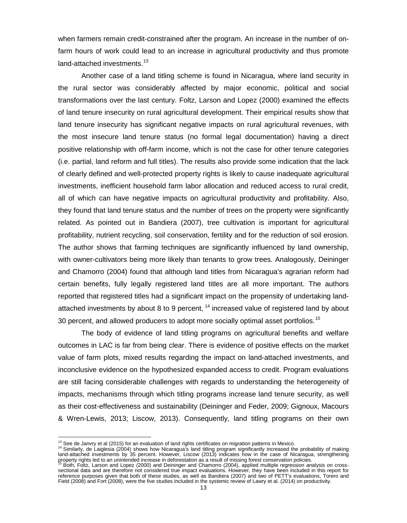when farmers remain credit-constrained after the program. An increase in the number of onfarm hours of work could lead to an increase in agricultural productivity and thus promote land-attached investments.<sup>[13](#page-17-0)</sup>

Another case of a land titling scheme is found in Nicaragua, where land security in the rural sector was considerably affected by major economic, political and social transformations over the last century. Foltz, Larson and Lopez (2000) examined the effects of land tenure insecurity on rural agricultural development. Their empirical results show that land tenure insecurity has significant negative impacts on rural agricultural revenues, with the most insecure land tenure status (no formal legal documentation) having a direct positive relationship with off-farm income, which is not the case for other tenure categories (i.e. partial, land reform and full titles). The results also provide some indication that the lack of clearly defined and well-protected property rights is likely to cause inadequate agricultural investments, inefficient household farm labor allocation and reduced access to rural credit, all of which can have negative impacts on agricultural productivity and profitability. Also, they found that land tenure status and the number of trees on the property were significantly related. As pointed out in Bandiera (2007), tree cultivation is important for agricultural profitability, nutrient recycling, soil conservation, fertility and for the reduction of soil erosion. The author shows that farming techniques are significantly influenced by land ownership, with owner-cultivators being more likely than tenants to grow trees. Analogously, Deininger and Chamorro (2004) found that although land titles from Nicaragua's agrarian reform had certain benefits, fully legally registered land titles are all more important. The authors reported that registered titles had a significant impact on the propensity of undertaking landattached investments by about 8 to 9 percent,  $14$  increased value of registered land by about 30 percent, and allowed producers to adopt more socially optimal asset portfolios.<sup>[15](#page-17-2)</sup>

The body of evidence of land titling programs on agricultural benefits and welfare outcomes in LAC is far from being clear. There is evidence of positive effects on the market value of farm plots, mixed results regarding the impact on land-attached investments, and inconclusive evidence on the hypothesized expanded access to credit. Program evaluations are still facing considerable challenges with regards to understanding the heterogeneity of impacts, mechanisms through which titling programs increase land tenure security, as well as their cost-effectiveness and sustainability (Deininger and Feder, 2009; Gignoux, Macours & Wren-Lewis, 2013; Liscow, 2013). Consequently, land titling programs on their own

<span id="page-17-1"></span><span id="page-17-0"></span>

<sup>&</sup>lt;sup>13</sup> See de Janvry et al (2015) for an evaluation of land rights certificates on migration patterns in Mexico.<br><sup>14</sup> Similarly, de Laiglesia (2004) shows how Nicaragua's land titling program significantly increased the prob land-attached investments by 35 percent. However, Liscow (2013) indicates how in the case of Nicaragua, strengthening property rights led to an unintended increase in deforestation as a result of missing forest conservation policies.<br><sup>15</sup> Both, Foltz, Larson and Lopez (2000) and Deininger and Chamorro (2004), applied multiple regression a

<span id="page-17-2"></span>sectional data and are therefore not considered true impact evaluations. However, they have been included in this report for reference purposes given that both of these studies, as well as Bandiera (2007) and two of PETT's evaluations, Torero and Field (2008) and Fort (2008), were the five studies included in the systemic review of Lawry et al. (2014) on productivity.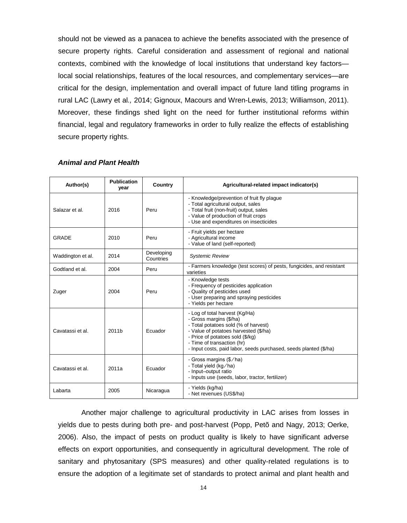should not be viewed as a panacea to achieve the benefits associated with the presence of secure property rights. Careful consideration and assessment of regional and national contexts, combined with the knowledge of local institutions that understand key factors local social relationships, features of the local resources, and complementary services—are critical for the design, implementation and overall impact of future land titling programs in rural LAC (Lawry et al*.,* 2014; Gignoux, Macours and Wren-Lewis, 2013; Williamson, 2011). Moreover, these findings shed light on the need for further institutional reforms within financial, legal and regulatory frameworks in order to fully realize the effects of establishing secure property rights.

| Author(s)         | <b>Publication</b><br>year | Country                 | Agricultural-related impact indicator(s)                                                                                                                                                                                                                                          |
|-------------------|----------------------------|-------------------------|-----------------------------------------------------------------------------------------------------------------------------------------------------------------------------------------------------------------------------------------------------------------------------------|
| Salazar et al.    | 2016                       | Peru                    | - Knowledge/prevention of fruit fly plague<br>- Total agricultural output, sales<br>- Total fruit (non-fruit) output, sales<br>- Value of production of fruit crops<br>- Use and expenditures on insecticides                                                                     |
| GRADE             | 2010                       | Peru                    | - Fruit yields per hectare<br>- Agricultural income<br>- Value of land (self-reported)                                                                                                                                                                                            |
| Waddington et al. | 2014                       | Developing<br>Countries | <b>Systemic Review</b>                                                                                                                                                                                                                                                            |
| Godtland et al.   | 2004                       | Peru                    | - Farmers knowledge (test scores) of pests, fungicides, and resistant<br>varieties                                                                                                                                                                                                |
| Zuger             | 2004                       | Peru                    | - Knowledge tests<br>- Frequency of pesticides application<br>- Quality of pesticides used<br>- User preparing and spraying pesticides<br>- Yields per hectare                                                                                                                    |
| Cavatassi et al.  | 2011b                      | Ecuador                 | - Log of total harvest (Kg/Ha)<br>- Gross margins (\$/ha)<br>- Total potatoes sold (% of harvest)<br>- Value of potatoes harvested (\$/ha)<br>- Price of potatoes sold (\$/kg)<br>- Time of transaction (hr)<br>- Input costs, paid labor, seeds purchased, seeds planted (\$/ha) |
| Cavatassi et al.  | 2011a                      | Ecuador                 | - Gross margins (\$/ha)<br>- Total yield (kg/ha)<br>- Input-output ratio<br>- Inputs use (seeds, labor, tractor, fertilizer)                                                                                                                                                      |
| Labarta           | 2005                       | Nicaragua               | - Yields (kg/ha)<br>- Net revenues (US\$/ha)                                                                                                                                                                                                                                      |

#### <span id="page-18-0"></span>*Animal and Plant Health*

Another major challenge to agricultural productivity in LAC arises from losses in yields due to pests during both pre- and post-harvest (Popp, Petõ and Nagy, 2013; Oerke, 2006). Also, the impact of pests on product quality is likely to have significant adverse effects on export opportunities, and consequently in agricultural development. The role of sanitary and phytosanitary (SPS measures) and other quality-related regulations is to ensure the adoption of a legitimate set of standards to protect animal and plant health and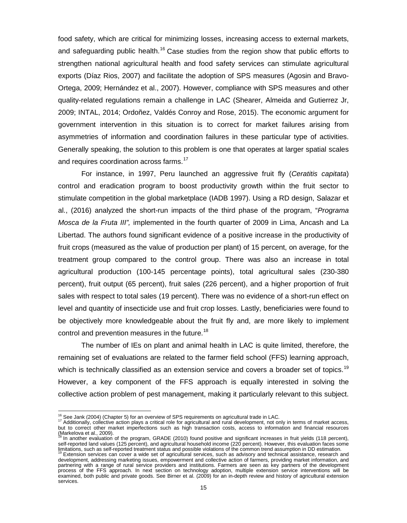food safety, which are critical for minimizing losses, increasing access to external markets, and safeguarding public health.<sup>[16](#page-19-0)</sup> Case studies from the region show that public efforts to strengthen national agricultural health and food safety services can stimulate agricultural exports (Díaz Rios, 2007) and facilitate the adoption of SPS measures (Agosin and Bravo-Ortega, 2009; Hernández et al., 2007). However, compliance with SPS measures and other quality-related regulations remain a challenge in LAC (Shearer, Almeida and Gutierrez Jr, 2009; INTAL, 2014; Ordoñez, Valdés Conroy and Rose, 2015). The economic argument for government intervention in this situation is to correct for market failures arising from asymmetries of information and coordination failures in these particular type of activities. Generally speaking, the solution to this problem is one that operates at larger spatial scales and requires coordination across farms. [17](#page-19-1)

For instance, in 1997, Peru launched an aggressive fruit fly (*Ceratitis capitata*) control and eradication program to boost productivity growth within the fruit sector to stimulate competition in the global marketplace (IADB 1997). Using a RD design, Salazar et al., (2016) analyzed the short-run impacts of the third phase of the program, "*Programa Mosca de la Fruta III",* implemented in the fourth quarter of 2009 in Lima, Ancash and La Libertad. The authors found significant evidence of a positive increase in the productivity of fruit crops (measured as the value of production per plant) of 15 percent, on average, for the treatment group compared to the control group. There was also an increase in total agricultural production (100-145 percentage points), total agricultural sales (230-380 percent), fruit output (65 percent), fruit sales (226 percent), and a higher proportion of fruit sales with respect to total sales (19 percent). There was no evidence of a short-run effect on level and quantity of insecticide use and fruit crop losses. Lastly, beneficiaries were found to be objectively more knowledgeable about the fruit fly and, are more likely to implement control and prevention measures in the future. [18](#page-19-2)

The number of IEs on plant and animal health in LAC is quite limited, therefore, the remaining set of evaluations are related to the farmer field school (FFS) learning approach, which is technically classified as an extension service and covers a broader set of topics.<sup>[19](#page-19-3)</sup> However, a key component of the FFS approach is equally interested in solving the collective action problem of pest management, making it particularly relevant to this subject.

<sup>&</sup>lt;sup>16</sup> See Jank (2004) (Chapter 5) for an overview of SPS requirements on agricultural trade in LAC.

<span id="page-19-1"></span><span id="page-19-0"></span><sup>&</sup>lt;sup>16</sup> See Jank (2004) (Chapter 5) for an overview of SPS requirements on agricultural trade in LAC.<br><sup>17</sup> Additionally, collective action plays a critical role for agricultural and rural development, not only in terms of mar but to correct other market imperfections such as high transaction costs, access to information and financial resources (Markelova et al., 2009).

<span id="page-19-2"></span><sup>&</sup>lt;sup>18</sup> In another evaluation of the program, GRADE (2010) found positive and significant increases in fruit yields (118 percent), self-reported land values (125 percent), and agricultural household income (220 percent). However, this evaluation faces some

<span id="page-19-3"></span>limitations, such as self-reported treatment status and possible violations of the common trend assumption in DD estimation.<br><sup>19</sup> Extension services can cover a wide set of agricultural services, such as advisory and techn development, addressing marketing issues, empowerment and collective action of farmers, providing market information, and partnering with a range of rural service providers and institutions. Farmers are seen as key partners of the development process of the FFS approach. In next section on technology adoption, multiple extension service interventions will be examined, both public and private goods. See Birner et al. (2009) for an in-depth review and history of agricultural extension services.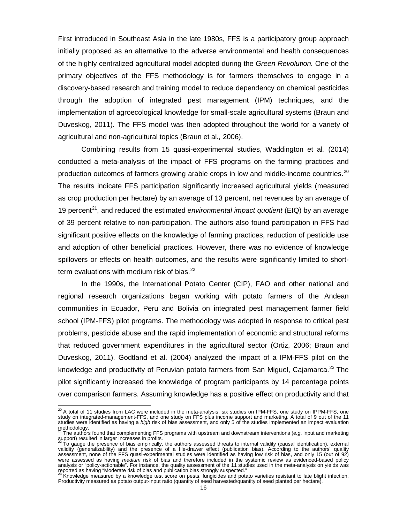First introduced in Southeast Asia in the late 1980s, FFS is a participatory group approach initially proposed as an alternative to the adverse environmental and health consequences of the highly centralized agricultural model adopted during the *Green Revolution.* One of the primary objectives of the FFS methodology is for farmers themselves to engage in a discovery-based research and training model to reduce dependency on chemical pesticides through the adoption of integrated pest management (IPM) techniques, and the implementation of agroecological knowledge for small-scale agricultural systems (Braun and Duveskog, 2011). The FFS model was then adopted throughout the world for a variety of agricultural and non-agricultural topics (Braun et al*.,* 2006).

Combining results from 15 quasi-experimental studies, Waddington et al*.* (2014) conducted a meta-analysis of the impact of FFS programs on the farming practices and production outcomes of farmers growing arable crops in low and middle-income countries.<sup>[20](#page-20-0)</sup> The results indicate FFS participation significantly increased agricultural yields (measured as crop production per hectare) by an average of 13 percent, net revenues by an average of 19 percent<sup>[21](#page-20-1)</sup>, and reduced the estimated *environmental impact quotient* (EIQ) by an average of 39 percent relative to non-participation. The authors also found participation in FFS had significant positive effects on the knowledge of farming practices, reduction of pesticide use and adoption of other beneficial practices. However, there was no evidence of knowledge spillovers or effects on health outcomes, and the results were significantly limited to short-term evaluations with medium risk of bias.<sup>[22](#page-20-2)</sup>

In the 1990s, the International Potato Center (CIP), FAO and other national and regional research organizations began working with potato farmers of the Andean communities in Ecuador, Peru and Bolivia on integrated pest management farmer field school (IPM-FFS) pilot programs. The methodology was adopted in response to critical pest problems, pesticide abuse and the rapid implementation of economic and structural reforms that reduced government expenditures in the agricultural sector (Ortiz, 2006; Braun and Duveskog, 2011). Godtland et al. (2004) analyzed the impact of a IPM-FFS pilot on the knowledge and productivity of Peruvian potato farmers from San Miguel, Cajamarca.<sup>[23](#page-20-3)</sup> The pilot significantly increased the knowledge of program participants by 14 percentage points over comparison farmers. Assuming knowledge has a positive effect on productivity and that

<span id="page-20-0"></span> $^{20}$  A total of 11 studies from LAC were included in the meta-analysis, six studies on IPM-FFS, one study on IPPM-FFS, one study on integrated-management-FFS, and one study on FFS plus income support and marketing. A total of 9 out of the 11 studies were identified as having a *high* risk of bias assessment, and only 5 of the studies implemented an impact evaluation  $\overline{\phantom{a}}$ 

<span id="page-20-1"></span>methodology. <sup>21</sup> The authors found that complementing FFS programs with upstream and downstream interventions (*e.g*. input and marketing support) resulted in larger increases in profits.<br><sup>22</sup> To gauge the presence of bias empirically, the authors assessed threats to internal validity (causal identification), external

<span id="page-20-2"></span>validity (generalizability) and the presence of a file-drawer effect (publication bias). According to the authors' quality assessment, none of the FFS quasi-experimental studies were identified as having low risk of bias, and only 15 (out of 92) were assessed as having *medium* risk of bias and therefore included in the systemic review as evidenced-based policy analysis or "policy-actionable". For instance, the quality assessment of the 11 studies used in the meta-analysis on yields was

<span id="page-20-3"></span>reported as having "Moderate risk of bias and publication bias strongly suspected."<br><sup>23</sup> Knowledge measured by a knowledge test score on pests, fungicides and potato varieties resistant to late blight infection. Productivity measured as potato output-input ratio (quantity of seed harvested/quantity of seed planted per hectare).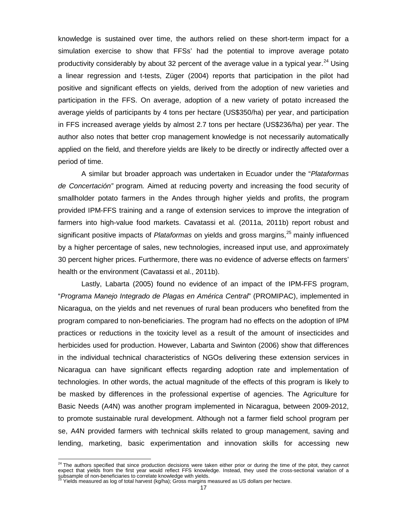knowledge is sustained over time, the authors relied on these short-term impact for a simulation exercise to show that FFSs' had the potential to improve average potato productivity considerably by about 32 percent of the average value in a typical year.<sup>[24](#page-21-0)</sup> Using a linear regression and t-tests, Züger (2004) reports that participation in the pilot had positive and significant effects on yields, derived from the adoption of new varieties and participation in the FFS. On average, adoption of a new variety of potato increased the average yields of participants by 4 tons per hectare (US\$350/ha) per year, and participation in FFS increased average yields by almost 2.7 tons per hectare (US\$236/ha) per year. The author also notes that better crop management knowledge is not necessarily automatically applied on the field, and therefore yields are likely to be directly or indirectly affected over a period of time.

A similar but broader approach was undertaken in Ecuador under the "*Plataformas de Concertación"* program*.* Aimed at reducing poverty and increasing the food security of smallholder potato farmers in the Andes through higher yields and profits, the program provided IPM-FFS training and a range of extension services to improve the integration of farmers into high-value food markets. Cavatassi et al. (2011a, 2011b) report robust and significant positive impacts of *Plataformas* on yields and gross margins, [25](#page-21-1) mainly influenced by a higher percentage of sales, new technologies, increased input use, and approximately 30 percent higher prices. Furthermore, there was no evidence of adverse effects on farmers' health or the environment (Cavatassi et al., 2011b).

Lastly, Labarta (2005) found no evidence of an impact of the IPM-FFS program, "*Programa Manejo Integrado de Plagas en América Central*" (PROMIPAC), implemented in Nicaragua, on the yields and net revenues of rural bean producers who benefited from the program compared to non-beneficiaries. The program had no effects on the adoption of IPM practices or reductions in the toxicity level as a result of the amount of insecticides and herbicides used for production. However, Labarta and Swinton (2006) show that differences in the individual technical characteristics of NGOs delivering these extension services in Nicaragua can have significant effects regarding adoption rate and implementation of technologies. In other words, the actual magnitude of the effects of this program is likely to be masked by differences in the professional expertise of agencies. The Agriculture for Basic Needs (A4N) was another program implemented in Nicaragua, between 2009-2012, to promote sustainable rural development. Although not a farmer field school program per se, A4N provided farmers with technical skills related to group management, saving and lending, marketing, basic experimentation and innovation skills for accessing new

<span id="page-21-0"></span> $^{24}$  The authors specified that since production decisions were taken either prior or during the time of the pitot, they cannot expect that yields from the first year would reflect FFS knowledge. Instead, they used the cross-sectional variation of a subsample of non-beneficiaries to correlate knowledge with yields.<br><sup>25</sup> Yields measured as log of total harvest (kg/ha); Gross margins measured as US dollars per hectare.  $\overline{\phantom{a}}$ 

<span id="page-21-1"></span>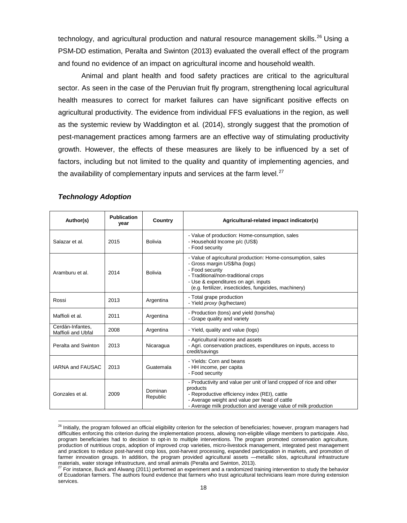technology, and agricultural production and natural resource management skills.<sup>[26](#page-22-1)</sup> Using a PSM-DD estimation, Peralta and Swinton (2013) evaluated the overall effect of the program and found no evidence of an impact on agricultural income and household wealth.

Animal and plant health and food safety practices are critical to the agricultural sector. As seen in the case of the Peruvian fruit fly program, strengthening local agricultural health measures to correct for market failures can have significant positive effects on agricultural productivity. The evidence from individual FFS evaluations in the region, as well as the systemic review by Waddington et al*.* (2014), strongly suggest that the promotion of pest-management practices among farmers are an effective way of stimulating productivity growth. However, the effects of these measures are likely to be influenced by a set of factors, including but not limited to the quality and quantity of implementing agencies, and the availability of complementary inputs and services at the farm level.<sup>[27](#page-22-2)</sup>

| Author(s)                              | <b>Publication</b><br>year | Country             | Agricultural-related impact indicator(s)                                                                                                                                                                                                                 |
|----------------------------------------|----------------------------|---------------------|----------------------------------------------------------------------------------------------------------------------------------------------------------------------------------------------------------------------------------------------------------|
| Salazar et al.                         | 2015                       | Bolivia             | - Value of production: Home-consumption, sales<br>- Household Income p/c (US\$)<br>- Food security                                                                                                                                                       |
| Aramburu et al.                        | 2014                       | <b>Bolivia</b>      | - Value of agricultural production: Home-consumption, sales<br>- Gross margin US\$/ha (logs)<br>- Food security<br>- Traditional/non-traditional crops<br>- Use & expenditures on agri. inputs<br>(e.g. fertilizer, insecticides, fungicides, machinery) |
| Rossi                                  | 2013                       | Argentina           | - Total grape production<br>- Yield proxy (kg/hectare)                                                                                                                                                                                                   |
| Maffioli et al.                        | 2011                       | Argentina           | - Production (tons) and yield (tons/ha)<br>- Grape quality and variety                                                                                                                                                                                   |
| Cerdán-Infantes.<br>Maffioli and Ubfal | 2008                       | Argentina           | - Yield, quality and value (logs)                                                                                                                                                                                                                        |
| Peralta and Swinton                    | 2013                       | Nicaragua           | - Agricultural income and assets<br>- Agri. conservation practices, expenditures on inputs, access to<br>credit/savings                                                                                                                                  |
| <b>IARNA and FAUSAC</b>                | 2013                       | Guatemala           | - Yields: Corn and beans<br>- HH income, per capita<br>- Food security                                                                                                                                                                                   |
| Gonzales et al.                        | 2009                       | Dominan<br>Republic | - Productivity and value per unit of land cropped of rice and other<br>products<br>- Reproductive efficiency index (REI), cattle<br>- Average weight and value per head of cattle<br>- Average milk production and average value of milk production      |

#### <span id="page-22-0"></span>*Technology Adoption*

<span id="page-22-1"></span><sup>&</sup>lt;sup>26</sup> Initially, the program followed an official eligibility criterion for the selection of beneficiaries; however, program managers had difficulties enforcing this criterion during the implementation process, allowing non-eligible village members to participate. Also, program beneficiaries had to decision to opt-in to multiple interventions. The program promoted conservation agriculture, production of nutritious crops, adoption of improved crop varieties, micro-livestock management, integrated pest management and practices to reduce post-harvest crop loss, post-harvest processing, expanded participation in markets, and promotion of farmer innovation groups. In addition, the program provided agricultural assets —metallic silos, agricultural infrastructure materials, water storage infrastructure, and small animals (Peralta and Swinton, 2013).

<span id="page-22-2"></span> $27$  For instance, Buck and Alwang (2011) performed an experiment and a randomized training intervention to study the behavior of Ecuadorian farmers. The authors found evidence that farmers who trust agricultural technicians learn more during extension services.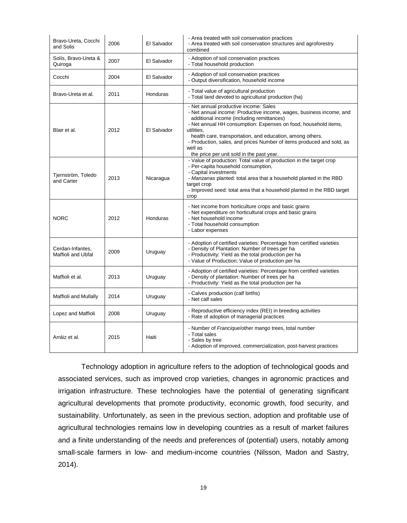| Bravo-Ureta, Cocchi<br>and Solis       | 2006 | El Salvador | - Area treated with soil conservation practices<br>- Area treated with soil conservation structures and agroforestry<br>combined                                                                                                                                                                                                                                                                                                         |
|----------------------------------------|------|-------------|------------------------------------------------------------------------------------------------------------------------------------------------------------------------------------------------------------------------------------------------------------------------------------------------------------------------------------------------------------------------------------------------------------------------------------------|
| Solís, Bravo-Ureta &<br>Quiroga        | 2007 | El Salvador | - Adoption of soil conservation practices<br>- Total household production                                                                                                                                                                                                                                                                                                                                                                |
| Cocchi                                 | 2004 | El Salvador | - Adoption of soil conservation practices<br>- Output diversification, household income                                                                                                                                                                                                                                                                                                                                                  |
| Bravo-Ureta et al.                     | 2011 | Honduras    | - Total value of agricultural production<br>- Total land devoted to agricultural production (ha)                                                                                                                                                                                                                                                                                                                                         |
| Blair et al.                           | 2012 | El Salvador | - Net annual productive income: Sales<br>- Net annual income: Productive income, wages, business income, and<br>additional income (including remittances)<br>- Net annual HH consumption: Expenses on food, household items,<br>utilities.<br>health care, transportation, and education, among others.<br>- Production, sales, and prices Number of items produced and sold, as<br>well as<br>the price per unit sold in the past year. |
| Tjernström, Toledo<br>and Carter       | 2013 | Nicaragua   | - Value of production: Total value of production in the target crop<br>- Per-capita household consumption,<br>- Capital investments<br>- Manzanas planted: total area that a household planted in the RBD<br>target crop<br>- Improved seed: total area that a household planted in the RBD target<br>crop                                                                                                                               |
| <b>NORC</b>                            | 2012 | Honduras    | - Net income from horticulture crops and basic grains<br>- Net expenditure on horticultural crops and basic grains<br>- Net household income<br>- Total household consumption<br>- Labor expenses                                                                                                                                                                                                                                        |
| Cerdan-Infantes,<br>Maffioli and Ubfal | 2009 | Uruguay     | - Adoption of certified varieties: Percentage from certified varieties<br>- Density of Plantation: Number of trees per ha<br>- Productivity: Yield as the total production per ha<br>- Value of Production: Value of production per ha                                                                                                                                                                                                   |
| Maffioli et al.                        | 2013 | Uruguay     | - Adoption of certified varieties: Percentage from certified varieties<br>- Density of plantation: Number of trees per ha<br>- Productivity: Yield as the total production per ha                                                                                                                                                                                                                                                        |
| Maffioli and Mullally                  | 2014 | Uruguay     | - Calves production (calf births)<br>- Net calf sales                                                                                                                                                                                                                                                                                                                                                                                    |
| Lopez and Maffioli                     | 2008 | Uruguay     | - Reproductive efficiency index (REI) in breeding activities<br>- Rate of adoption of managerial practices                                                                                                                                                                                                                                                                                                                               |
| Arráiz et al.                          | 2015 | Haiti       | - Number of Francique/other mango trees, total number<br>- Total sales<br>- Sales by tree<br>- Adoption of improved, commercialization, post-harvest practices                                                                                                                                                                                                                                                                           |

Technology adoption in agriculture refers to the adoption of technological goods and associated services, such as improved crop varieties, changes in agronomic practices and irrigation infrastructure. These technologies have the potential of generating significant agricultural developments that promote productivity, economic growth, food security, and sustainability. Unfortunately, as seen in the previous section, adoption and profitable use of agricultural technologies remains low in developing countries as a result of market failures and a finite understanding of the needs and preferences of (potential) users, notably among small-scale farmers in low- and medium-income countries (Nilsson, Madon and Sastry, 2014).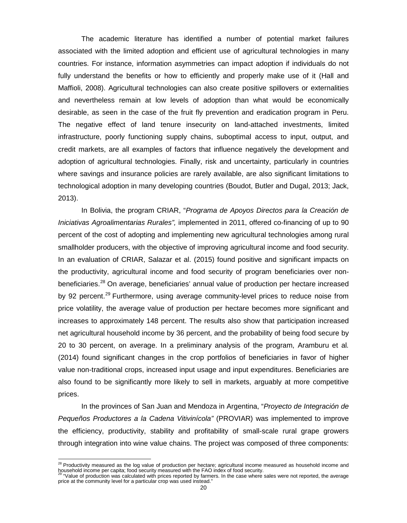The academic literature has identified a number of potential market failures associated with the limited adoption and efficient use of agricultural technologies in many countries. For instance, information asymmetries can impact adoption if individuals do not fully understand the benefits or how to efficiently and properly make use of it (Hall and Maffioli, 2008). Agricultural technologies can also create positive spillovers or externalities and nevertheless remain at low levels of adoption than what would be economically desirable, as seen in the case of the fruit fly prevention and eradication program in Peru. The negative effect of land tenure insecurity on land-attached investments, limited infrastructure, poorly functioning supply chains, suboptimal access to input, output, and credit markets, are all examples of factors that influence negatively the development and adoption of agricultural technologies. Finally, risk and uncertainty, particularly in countries where savings and insurance policies are rarely available, are also significant limitations to technological adoption in many developing countries (Boudot, Butler and Dugal, 2013; Jack, 2013).

In Bolivia, the program CRIAR, "*Programa de Apoyos Directos para la Creación de Iniciativas Agroalimentarias Rurales",* implemented in 2011, offered co-financing of up to 90 percent of the cost of adopting and implementing new agricultural technologies among rural smallholder producers, with the objective of improving agricultural income and food security. In an evaluation of CRIAR, Salazar et al. (2015) found positive and significant impacts on the productivity, agricultural income and food security of program beneficiaries over non-beneficiaries.<sup>[28](#page-24-0)</sup> On average, beneficiaries' annual value of production per hectare increased by 92 percent.<sup>[29](#page-24-1)</sup> Furthermore, using average community-level prices to reduce noise from price volatility, the average value of production per hectare becomes more significant and increases to approximately 148 percent. The results also show that participation increased net agricultural household income by 36 percent, and the probability of being food secure by 20 to 30 percent, on average. In a preliminary analysis of the program, Aramburu et al*.* (2014) found significant changes in the crop portfolios of beneficiaries in favor of higher value non-traditional crops, increased input usage and input expenditures. Beneficiaries are also found to be significantly more likely to sell in markets, arguably at more competitive prices.

In the provinces of San Juan and Mendoza in Argentina, "*Proyecto de Integración de Pequeños Productores a la Cadena Vitivinícola"* (PROVIAR) was implemented to improve the efficiency, productivity, stability and profitability of small-scale rural grape growers through integration into wine value chains. The project was composed of three components:

<span id="page-24-0"></span> $^{28}$  Productivity measured as the log value of production per hectare; agricultural income measured as household income and household income per capita; food security measured with the FAO index of food security.<br><sup>29</sup> "Value of production was calculated with prices reported by farmers. In the case where sales were not reported, the average

<span id="page-24-1"></span>price at the community level for a particular crop was used instead."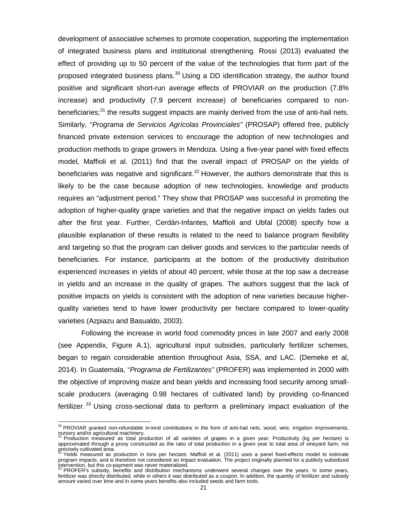development of associative schemes to promote cooperation, supporting the implementation of integrated business plans and institutional strengthening. Rossi (2013) evaluated the effect of providing up to 50 percent of the value of the technologies that form part of the proposed integrated business plans. $30$  Using a DD identification strategy, the author found positive and significant short-run average effects of PROVIAR on the production (7.8% increase) and productivity (7.9 percent increase) of beneficiaries compared to non-beneficiaries;<sup>[31](#page-25-1)</sup> the results suggest impacts are mainly derived from the use of anti-hail nets. Similarly, "*Programa de Servicios Agrícolas Provinciales"* (PROSAP) offered free, publicly financed private extension services to encourage the adoption of new technologies and production methods to grape growers in Mendoza. Using a five-year panel with fixed effects model, Maffioli et al. (2011) find that the overall impact of PROSAP on the yields of beneficiaries was negative and significant.<sup>[32](#page-25-2)</sup> However, the authors demonstrate that this is likely to be the case because adoption of new technologies, knowledge and products requires an "adjustment period." They show that PROSAP was successful in promoting the adoption of higher-quality grape varieties and that the negative impact on yields fades out after the first year. Further, Cerdán-Infantes, Maffioli and Ubfal (2008) specify how a plausible explanation of these results is related to the need to balance program flexibility and targeting so that the program can deliver goods and services to the particular needs of beneficiaries. For instance, participants at the bottom of the productivity distribution experienced increases in yields of about 40 percent, while those at the top saw a decrease in yields and an increase in the quality of grapes. The authors suggest that the lack of positive impacts on yields is consistent with the adoption of new varieties because higherquality varieties tend to have lower productivity per hectare compared to lower-quality varieties (Azpiazu and Basualdo, 2003).

Following the increase in world food commodity prices in late 2007 and early 2008 (see Appendix, Figure A.1), agricultural input subsidies, particularly fertilizer schemes, began to regain considerable attention throughout Asia, SSA, and LAC. (Demeke et al, 2014). In Guatemala, "*Programa de Fertilizantes"* (PROFER) was implemented in 2000 with the objective of improving maize and bean yields and increasing food security among smallscale producers (averaging 0.98 hectares of cultivated land) by providing co-financed fertilizer. [33](#page-25-3) Using cross-sectional data to perform a preliminary impact evaluation of the

<span id="page-25-0"></span><sup>&</sup>lt;sup>30</sup> PROVIAR granted non-refundable in-kind contributions in the form of anti-hail nets, wood, wire, irrigation improvements, nursery and/or agricultural machinery.<br><sup>31</sup> Production measured as total production of all varieties of grapes in a given year; Productivity (kg per hectare) is

<span id="page-25-1"></span>approximated through a proxy constructed as the ratio of total production in a given year to total area of vineyard farm, not precisely cultivated area.<br><sup>32</sup> Yields measured as production in tons per hectare. Maffioli et al. (2011) uses a panel fixed-effects model to estimate

<span id="page-25-2"></span>program impacts, and is therefore not considered an impact evaluation. The project originally planned for a publicly subsidized intervention, but this co-payment was never materialized. <sup>33</sup> PROFER's subsidy, benefits and distribution mechanisms underwent several changes over the years. In some years,

<span id="page-25-3"></span>fertilizer was directly distributed, while in others it was distributed as a coupon. In addition, the quantity of fertilizer and subsidy amount varied over time and in some years benefits also included seeds and farm tools.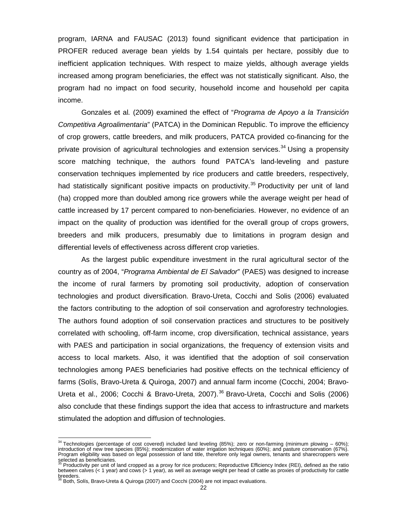program, IARNA and FAUSAC (2013) found significant evidence that participation in PROFER reduced average bean yields by 1.54 quintals per hectare, possibly due to inefficient application techniques. With respect to maize yields, although average yields increased among program beneficiaries, the effect was not statistically significant. Also, the program had no impact on food security, household income and household per capita income.

Gonzales et al*.* (2009) examined the effect of "*Programa de Apoyo a la Transición Competitiva Agroalimentaria*" (PATCA) in the Dominican Republic. To improve the efficiency of crop growers, cattle breeders, and milk producers, PATCA provided co-financing for the private provision of agricultural technologies and extension services.<sup>[34](#page-26-0)</sup> Using a propensity score matching technique, the authors found PATCA's land-leveling and pasture conservation techniques implemented by rice producers and cattle breeders, respectively, had statistically significant positive impacts on productivity.<sup>[35](#page-26-1)</sup> Productivity per unit of land (ha) cropped more than doubled among rice growers while the average weight per head of cattle increased by 17 percent compared to non-beneficiaries. However, no evidence of an impact on the quality of production was identified for the overall group of crops growers, breeders and milk producers, presumably due to limitations in program design and differential levels of effectiveness across different crop varieties.

As the largest public expenditure investment in the rural agricultural sector of the country as of 2004, "*Programa Ambiental de El Salvador*" (PAES) was designed to increase the income of rural farmers by promoting soil productivity, adoption of conservation technologies and product diversification. Bravo-Ureta, Cocchi and Solis (2006) evaluated the factors contributing to the adoption of soil conservation and agroforestry technologies. The authors found adoption of soil conservation practices and structures to be positively correlated with schooling, off-farm income, crop diversification, technical assistance, years with PAES and participation in social organizations, the frequency of extension visits and access to local markets. Also, it was identified that the adoption of soil conservation technologies among PAES beneficiaries had positive effects on the technical efficiency of farms (Solís, Bravo-Ureta & Quiroga, 2007) and annual farm income (Cocchi, 2004; Bravo-Ureta et al., 2006; Cocchi & Bravo-Ureta, 2007). [36](#page-26-2) Bravo-Ureta, Cocchi and Solis (2006) also conclude that these findings support the idea that access to infrastructure and markets stimulated the adoption and diffusion of technologies.

<span id="page-26-0"></span> $34$  Technologies (percentage of cost covered) included land leveling (85%); zero or non-farming (minimum plowing - 60%); introduction of new tree species (85%); modernization of water irrigation techniques (60%); and pasture conservation (67%). Program eligibility was based on legal possession of land title, therefore only legal owners, tenants and sharecroppers were

<span id="page-26-1"></span>selected as beneficiaries.<br><sup>35</sup> Productivity per unit of land cropped as a proxy for rice producers; Reproductive Efficiency Index (REI), defined as the ratio between calves (< 1 year) and cows (> 1 year), as well as average weight per head of cattle as proxies of productivity for cattle breeders.

<span id="page-26-2"></span><sup>36</sup> Both, Solís, Bravo-Ureta & Quiroga (2007) and Cocchi (2004) are not impact evaluations.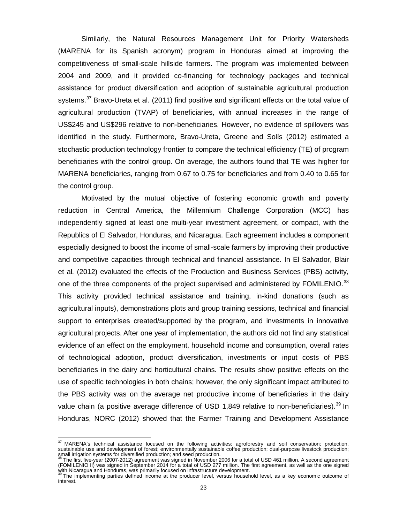Similarly, the Natural Resources Management Unit for Priority Watersheds (MARENA for its Spanish acronym) program in Honduras aimed at improving the competitiveness of small-scale hillside farmers. The program was implemented between 2004 and 2009, and it provided co-financing for technology packages and technical assistance for product diversification and adoption of sustainable agricultural production systems.[37](#page-27-0) Bravo-Ureta et al*.* (2011) find positive and significant effects on the total value of agricultural production (TVAP) of beneficiaries, with annual increases in the range of US\$245 and US\$296 relative to non-beneficiaries. However, no evidence of spillovers was identified in the study. Furthermore, Bravo-Ureta, Greene and Solís (2012) estimated a stochastic production technology frontier to compare the technical efficiency (TE) of program beneficiaries with the control group. On average, the authors found that TE was higher for MARENA beneficiaries, ranging from 0.67 to 0.75 for beneficiaries and from 0.40 to 0.65 for the control group.

Motivated by the mutual objective of fostering economic growth and poverty reduction in Central America, the Millennium Challenge Corporation (MCC) has independently signed at least one multi-year investment agreement, or compact, with the Republics of El Salvador, Honduras, and Nicaragua. Each agreement includes a component especially designed to boost the income of small-scale farmers by improving their productive and competitive capacities through technical and financial assistance. In El Salvador, Blair et al*.* (2012) evaluated the effects of the Production and Business Services (PBS) activity, one of the three components of the project supervised and administered by FOMILENIO.<sup>[38](#page-27-1)</sup> This activity provided technical assistance and training, in-kind donations (such as agricultural inputs), demonstrations plots and group training sessions, technical and financial support to enterprises created/supported by the program, and investments in innovative agricultural projects. After one year of implementation, the authors did not find any statistical evidence of an effect on the employment, household income and consumption, overall rates of technological adoption, product diversification, investments or input costs of PBS beneficiaries in the dairy and horticultural chains. The results show positive effects on the use of specific technologies in both chains; however, the only significant impact attributed to the PBS activity was on the average net productive income of beneficiaries in the dairy value chain (a positive average difference of USD 1,849 relative to non-beneficiaries).<sup>[39](#page-27-2)</sup> In Honduras, NORC (2012) showed that the Farmer Training and Development Assistance

<span id="page-27-0"></span> $37$  MARENA's technical assistance focused on the following activities: agroforestry and soil conservation; protection, sustainable use and development of forest; environmentally sustainable coffee production; dual-purpose livestock production; small irrigation systems for diversified production; and seed production.<br><sup>38</sup> The first five-year (2007-2012) agreement was signed in November 2006 for a total of USD 461 million. A second agreement  $\overline{a}$ 

<span id="page-27-1"></span><sup>(</sup>FOMILENIO II) was signed in September 2014 for a total of USD 277 million. The first agreement, as well as the one signed with Nicaragua and Honduras, was primarily focused on infrastructure development.<br><sup>39</sup> The implementing parties defined income at the producer level, versus household level, as a key economic outcome of

<span id="page-27-2"></span>interest.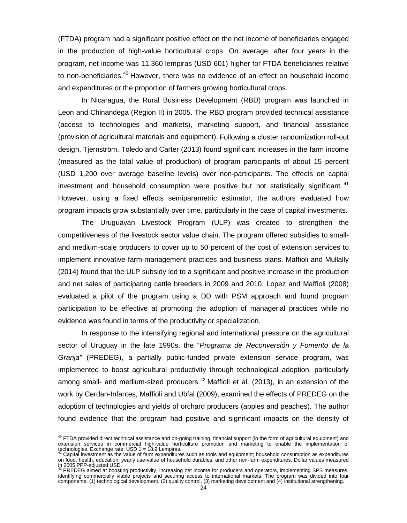(FTDA) program had a significant positive effect on the net income of beneficiaries engaged in the production of high-value horticultural crops. On average, after four years in the program, net income was 11,360 lempiras (USD 601) higher for FTDA beneficiaries relative to non-beneficiaries.<sup>[40](#page-28-0)</sup> However, there was no evidence of an effect on household income and expenditures or the proportion of farmers growing horticultural crops.

In Nicaragua, the Rural Business Development (RBD) program was launched in Leon and Chinandega (Region II) in 2005. The RBD program provided technical assistance (access to technologies and markets), marketing support, and financial assistance (provision of agricultural materials and equipment). Following a cluster randomization roll-out design, Tjernström, Toledo and Carter (2013) found significant increases in the farm income (measured as the total value of production) of program participants of about 15 percent (USD 1,200 over average baseline levels) over non-participants. The effects on capital investment and household consumption were positive but not statistically significant.  $41$ However, using a fixed effects semiparametric estimator, the authors evaluated how program impacts grow substantially over time, particularly in the case of capital investments.

The Uruguayan Livestock Program (ULP) was created to strengthen the competitiveness of the livestock sector value chain. The program offered subsidies to smalland medium-scale producers to cover up to 50 percent of the cost of extension services to implement innovative farm-management practices and business plans. Maffioli and Mullally (2014) found that the ULP subsidy led to a significant and positive increase in the production and net sales of participating cattle breeders in 2009 and 2010. Lopez and Maffioli (2008) evaluated a pilot of the program using a DD with PSM approach and found program participation to be effective at promoting the adoption of managerial practices while no evidence was found in terms of the productivity or specialization.

In response to the intensifying regional and international pressure on the agricultural sector of Uruguay in the late 1990s, the "*Programa de Reconversión y Fomento de la Granja"* (PREDEG), a partially public-funded private extension service program, was implemented to boost agricultural productivity through technological adoption, particularly among small- and medium-sized producers.<sup>[42](#page-28-2)</sup> Maffioli et al. (2013), in an extension of the work by Cerdan-Infantes, Maffioli and Ubfal (2009), examined the effects of PREDEG on the adoption of technologies and yields of orchard producers (apples and peaches). The author found evidence that the program had positive and significant impacts on the density of

<span id="page-28-0"></span><sup>&</sup>lt;sup>40</sup> FTDA provided direct technical assistance and on-going training, financial support (in the form of agricultural equipment) and extension services in commercial high-value horticulture promotion and marketing to enable the implementation of  $\overline{\phantom{a}}$ 

<span id="page-28-1"></span>technologies. Exchange rate: USD 1 = 18.9 Lempiras.<br><sup>41</sup> Capital investment as the value of farm expenditures such as tools and equipment; household consumption as expenditures on food, health, education, yearly use-value of household durables, and other non-farm expenditures. Dollar values measured In 2005 PPP-adjusted USD.<br>in 2005 PPP-adjusted USD.<br><sup>42</sup> PREDEG aimed at boosting productivity, increasing net income for producers and operators, implementing SPS measures,

<span id="page-28-2"></span>identifying commercially viable projects and securing access to international markets. The program was divided into four components: (1) technological development, (2) quality control, (3) marketing development and (4) institutional strengthening.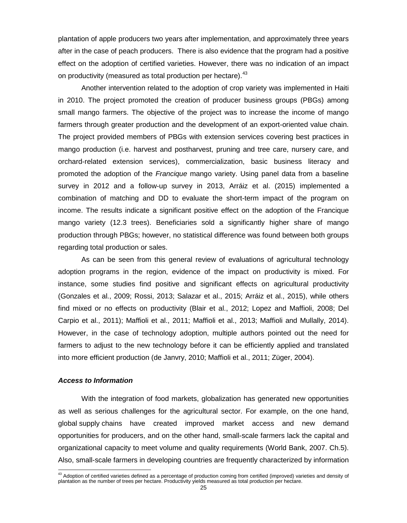plantation of apple producers two years after implementation, and approximately three years after in the case of peach producers. There is also evidence that the program had a positive effect on the adoption of certified varieties. However, there was no indication of an impact on productivity (measured as total production per hectare).<sup>[43](#page-29-1)</sup>

Another intervention related to the adoption of crop variety was implemented in Haiti in 2010. The project promoted the creation of producer business groups (PBGs) among small mango farmers. The objective of the project was to increase the income of mango farmers through greater production and the development of an export-oriented value chain. The project provided members of PBGs with extension services covering best practices in mango production (i.e. harvest and postharvest, pruning and tree care, nursery care, and orchard-related extension services), commercialization, basic business literacy and promoted the adoption of the *Francique* mango variety. Using panel data from a baseline survey in 2012 and a follow-up survey in 2013, Arráiz et al. (2015) implemented a combination of matching and DD to evaluate the short-term impact of the program on income. The results indicate a significant positive effect on the adoption of the Francique mango variety (12.3 trees). Beneficiaries sold a significantly higher share of mango production through PBGs; however, no statistical difference was found between both groups regarding total production or sales.

As can be seen from this general review of evaluations of agricultural technology adoption programs in the region, evidence of the impact on productivity is mixed. For instance, some studies find positive and significant effects on agricultural productivity (Gonzales et al., 2009; Rossi, 2013; Salazar et al., 2015; Arráiz et al., 2015), while others find mixed or no effects on productivity (Blair et al., 2012; Lopez and Maffioli, 2008; Del Carpio et al., 2011); Maffioli et al., 2011; Maffioli et al., 2013; Maffioli and Mullally, 2014). However, in the case of technology adoption, multiple authors pointed out the need for farmers to adjust to the new technology before it can be efficiently applied and translated into more efficient production (de Janvry, 2010; Maffioli et al., 2011; Züger, 2004).

#### <span id="page-29-0"></span>*Access to Information*

With the integration of food markets, globalization has generated new opportunities as well as serious challenges for the agricultural sector. For example, on the one hand, global supply chains have created improved market access and new demand opportunities for producers, and on the other hand, small-scale farmers lack the capital and organizational capacity to meet volume and quality requirements (World Bank, 2007. Ch.5). Also, small-scale farmers in developing countries are frequently characterized by information

<span id="page-29-1"></span> $43$  Adoption of certified varieties defined as a percentage of production coming from certified (improved) varieties and density of plantation as the number of trees per hectare. Productivity yields measured as total production per hectare.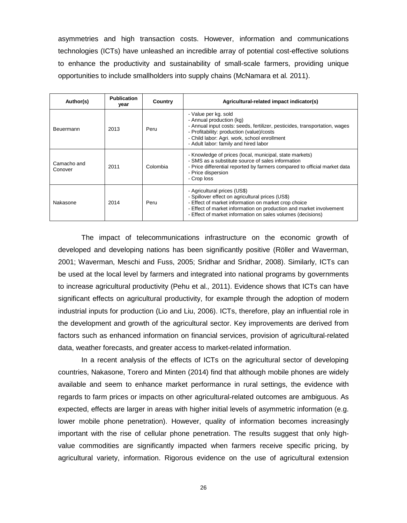asymmetries and high transaction costs. However, information and communications technologies (ICTs) have unleashed an incredible array of potential cost-effective solutions to enhance the productivity and sustainability of small-scale farmers, providing unique opportunities to include smallholders into supply chains (McNamara et al*.* 2011).

| Author(s)              | <b>Publication</b><br>year | Country  | Agricultural-related impact indicator(s)                                                                                                                                                                                                                                       |
|------------------------|----------------------------|----------|--------------------------------------------------------------------------------------------------------------------------------------------------------------------------------------------------------------------------------------------------------------------------------|
| Beuermann              | 2013                       | Peru     | - Value per kg. sold<br>- Annual production (kg)<br>- Annual input costs: seeds, fertilizer, pesticides, transportation, wages<br>- Profitability: production (value)/costs<br>- Child labor: Agri. work, school enrollment<br>- Adult labor: family and hired labor           |
| Camacho and<br>Conover | 2011                       | Colombia | - Knowledge of prices (local, municipal, state markets)<br>- SMS as a substitute source of sales information<br>- Price differential reported by farmers compared to official market data<br>- Price dispersion<br>- Crop loss                                                 |
| Nakasone               | 2014                       | Peru     | - Agricultural prices (US\$)<br>- Spillover effect on agricultural prices (US\$)<br>- Effect of market information on market crop choice<br>- Effect of market information on production and market involvement<br>- Effect of market information on sales volumes (decisions) |

The impact of telecommunications infrastructure on the economic growth of developed and developing nations has been significantly positive (Röller and Waverman, 2001; Waverman, Meschi and Fuss, 2005; Sridhar and Sridhar, 2008). Similarly, ICTs can be used at the local level by farmers and integrated into national programs by governments to increase agricultural productivity (Pehu et al*.,* 2011). Evidence shows that ICTs can have significant effects on agricultural productivity, for example through the adoption of modern industrial inputs for production (Lio and Liu, 2006). ICTs, therefore, play an influential role in the development and growth of the agricultural sector. Key improvements are derived from factors such as enhanced information on financial services, provision of agricultural-related data, weather forecasts, and greater access to market-related information.

In a recent analysis of the effects of ICTs on the agricultural sector of developing countries, Nakasone, Torero and Minten (2014) find that although mobile phones are widely available and seem to enhance market performance in rural settings, the evidence with regards to farm prices or impacts on other agricultural-related outcomes are ambiguous. As expected, effects are larger in areas with higher initial levels of asymmetric information (e.g. lower mobile phone penetration). However, quality of information becomes increasingly important with the rise of cellular phone penetration. The results suggest that only highvalue commodities are significantly impacted when farmers receive specific pricing, by agricultural variety, information. Rigorous evidence on the use of agricultural extension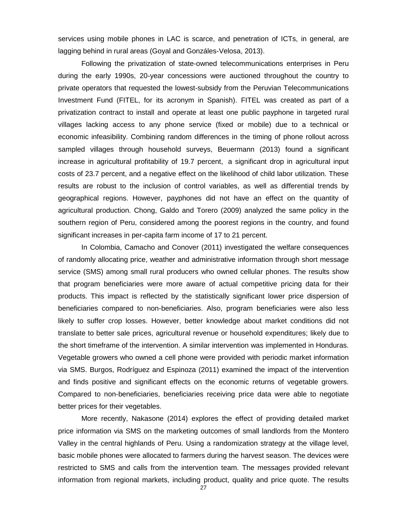services using mobile phones in LAC is scarce, and penetration of ICTs, in general, are lagging behind in rural areas (Goyal and Gonzáles-Velosa, 2013).

Following the privatization of state-owned telecommunications enterprises in Peru during the early 1990s, 20-year concessions were auctioned throughout the country to private operators that requested the lowest-subsidy from the Peruvian Telecommunications Investment Fund (FITEL, for its acronym in Spanish). FITEL was created as part of a privatization contract to install and operate at least one public payphone in targeted rural villages lacking access to any phone service (fixed or mobile) due to a technical or economic infeasibility. Combining random differences in the timing of phone rollout across sampled villages through household surveys, Beuermann (2013) found a significant increase in agricultural profitability of 19.7 percent, a significant drop in agricultural input costs of 23.7 percent, and a negative effect on the likelihood of child labor utilization. These results are robust to the inclusion of control variables, as well as differential trends by geographical regions. However, payphones did not have an effect on the quantity of agricultural production. Chong, Galdo and Torero (2009) analyzed the same policy in the southern region of Peru, considered among the poorest regions in the country, and found significant increases in per-capita farm income of 17 to 21 percent.

In Colombia, Camacho and Conover (2011) investigated the welfare consequences of randomly allocating price, weather and administrative information through short message service (SMS) among small rural producers who owned cellular phones. The results show that program beneficiaries were more aware of actual competitive pricing data for their products. This impact is reflected by the statistically significant lower price dispersion of beneficiaries compared to non-beneficiaries. Also, program beneficiaries were also less likely to suffer crop losses. However, better knowledge about market conditions did not translate to better sale prices, agricultural revenue or household expenditures; likely due to the short timeframe of the intervention. A similar intervention was implemented in Honduras. Vegetable growers who owned a cell phone were provided with periodic market information via SMS. Burgos, Rodríguez and Espinoza (2011) examined the impact of the intervention and finds positive and significant effects on the economic returns of vegetable growers. Compared to non-beneficiaries, beneficiaries receiving price data were able to negotiate better prices for their vegetables.

More recently, Nakasone (2014) explores the effect of providing detailed market price information via SMS on the marketing outcomes of small landlords from the Montero Valley in the central highlands of Peru. Using a randomization strategy at the village level, basic mobile phones were allocated to farmers during the harvest season. The devices were restricted to SMS and calls from the intervention team. The messages provided relevant information from regional markets, including product, quality and price quote. The results

27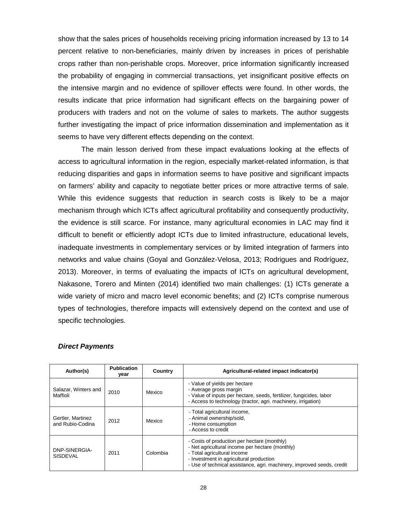show that the sales prices of households receiving pricing information increased by 13 to 14 percent relative to non-beneficiaries, mainly driven by increases in prices of perishable crops rather than non-perishable crops. Moreover, price information significantly increased the probability of engaging in commercial transactions, yet insignificant positive effects on the intensive margin and no evidence of spillover effects were found. In other words, the results indicate that price information had significant effects on the bargaining power of producers with traders and not on the volume of sales to markets. The author suggests further investigating the impact of price information dissemination and implementation as it seems to have very different effects depending on the context.

The main lesson derived from these impact evaluations looking at the effects of access to agricultural information in the region, especially market-related information, is that reducing disparities and gaps in information seems to have positive and significant impacts on farmers' ability and capacity to negotiate better prices or more attractive terms of sale. While this evidence suggests that reduction in search costs is likely to be a major mechanism through which ICTs affect agricultural profitability and consequently productivity, the evidence is still scarce. For instance, many agricultural economies in LAC may find it difficult to benefit or efficiently adopt ICTs due to limited infrastructure, educational levels, inadequate investments in complementary services or by limited integration of farmers into networks and value chains (Goyal and González-Velosa, 2013; Rodrigues and Rodríguez, 2013). Moreover, in terms of evaluating the impacts of ICTs on agricultural development, Nakasone, Torero and Minten (2014) identified two main challenges: (1) ICTs generate a wide variety of micro and macro level economic benefits; and (2) ICTs comprise numerous types of technologies, therefore impacts will extensively depend on the context and use of specific technologies.

| Author(s)                             | <b>Publication</b><br>vear | Country  | Agricultural-related impact indicator(s)                                                                                                                                                                                                           |
|---------------------------------------|----------------------------|----------|----------------------------------------------------------------------------------------------------------------------------------------------------------------------------------------------------------------------------------------------------|
| Salazar, Winters and<br>Maffioli      | 2010                       | Mexico   | - Value of yields per hectare<br>- Average gross margin<br>- Value of inputs per hectare, seeds, fertilizer, fungicides, labor<br>- Access to technology (tractor, agri. machinery, irrigation)                                                    |
| Gertler, Martinez<br>and Rubio-Codina | 2012                       | Mexico   | - Total agricultural income,<br>- Animal ownership/sold,<br>- Home consumption<br>- Access to credit                                                                                                                                               |
| DNP-SINERGIA-<br><b>SISDEVAL</b>      | 2011                       | Colombia | - Costs of production per hectare (monthly)<br>- Net agricultural income per hectare (monthly)<br>- Total agricultural income<br>- Investment in agricultural production<br>- Use of technical assistance, agri. machinery, improved seeds, credit |

#### <span id="page-32-0"></span>*Direct Payments*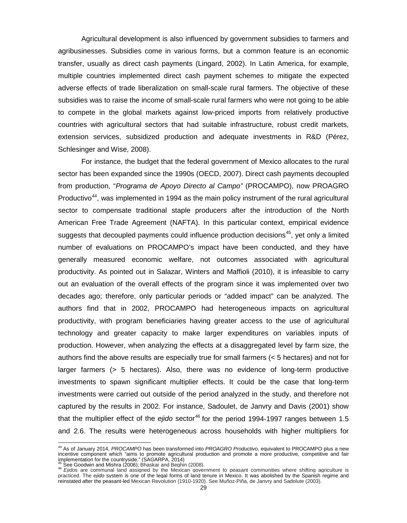Agricultural development is also influenced by government subsidies to farmers and agribusinesses. Subsidies come in various forms, but a common feature is an economic transfer, usually as direct cash payments (Lingard, 2002). In Latin America, for example, multiple countries implemented direct cash payment schemes to mitigate the expected adverse effects of trade liberalization on small-scale rural farmers. The objective of these subsidies was to raise the income of small-scale rural farmers who were not going to be able to compete in the global markets against low-priced imports from relatively productive countries with agricultural sectors that had suitable infrastructure, robust credit markets, extension services, subsidized production and adequate investments in R&D (Pérez, Schlesinger and Wise, 2008).

For instance, the budget that the federal government of Mexico allocates to the rural sector has been expanded since the 1990s (OECD, 2007). Direct cash payments decoupled from production, "*Programa de Apoyo Directo al Campo"* (PROCAMPO), now PROAGRO Productivo<sup>[44](#page-33-0)</sup>, was implemented in 1994 as the main policy instrument of the rural agricultural sector to compensate traditional staple producers after the introduction of the North American Free Trade Agreement (NAFTA). In this particular context, empirical evidence suggests that decoupled payments could influence production decisions<sup>[45](#page-33-1)</sup>, yet only a limited number of evaluations on PROCAMPO's impact have been conducted, and they have generally measured economic welfare, not outcomes associated with agricultural productivity. As pointed out in Salazar, Winters and Maffioli (2010), it is infeasible to carry out an evaluation of the overall effects of the program since it was implemented over two decades ago; therefore, only particular periods or "added impact" can be analyzed. The authors find that in 2002, PROCAMPO had heterogeneous impacts on agricultural productivity, with program beneficiaries having greater access to the use of agricultural technology and greater capacity to make larger expenditures on variables inputs of production. However, when analyzing the effects at a disaggregated level by farm size, the authors find the above results are especially true for small farmers (< 5 hectares) and not for larger farmers (> 5 hectares). Also, there was no evidence of long-term productive investments to spawn significant multiplier effects. It could be the case that long-term investments were carried out outside of the period analyzed in the study, and therefore not captured by the results in 2002. For instance, Sadoulet, de Janvry and Davis (2001) show that the multiplier effect of the *ejido* sector<sup>[46](#page-33-2)</sup> for the period 1994-1997 ranges between 1.5 and 2.6. The results were heterogeneous across households with higher multipliers for

<span id="page-33-0"></span><sup>44</sup> As of January 2014, *PROCAMPO* has been transformed into *PROAGRO Productivo,* equivalent to PROCAMPO plus a new incentive component which "aims to promote agricultural production and promote a more productive, competitive and fair implementation for the countryside." (SAGARPA, 2014)<br><sup>45</sup> See Goodwin and Mishra (2006); Bhaskar and Beghin (2008).<br><sup>46</sup> *Ejido*s are communal land assigned by the Mexican government to peasant communities where shifting a

<span id="page-33-1"></span>

<span id="page-33-2"></span>practiced. The e*jido* system is one of the legal forms of land tenure in Mexico. It was abolished by the Spanish regime and reinstated after the peasant-led Mexican Revolution (1910-1920). See Muñoz‐Piña, de Janvry and Sadolute (2003).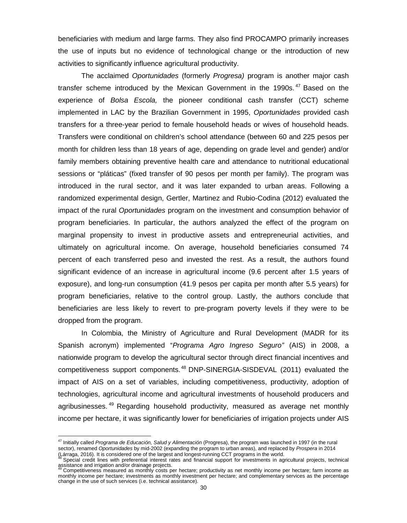beneficiaries with medium and large farms. They also find PROCAMPO primarily increases the use of inputs but no evidence of technological change or the introduction of new activities to significantly influence agricultural productivity.

The acclaimed *Oportunidades* (formerly *Progresa)* program is another major cash transfer scheme introduced by the Mexican Government in the 1990s. $47$  Based on the experience of *Bolsa Escola,* the pioneer conditional cash transfer (CCT) scheme implemented in LAC by the Brazilian Government in 1995, *Oportunidades* provided cash transfers for a three-year period to female household heads or wives of household heads. Transfers were conditional on children's school attendance (between 60 and 225 pesos per month for children less than 18 years of age, depending on grade level and gender) and/or family members obtaining preventive health care and attendance to nutritional educational sessions or "pláticas" (fixed transfer of 90 pesos per month per family). The program was introduced in the rural sector, and it was later expanded to urban areas. Following a randomized experimental design, Gertler, Martinez and Rubio-Codina (2012) evaluated the impact of the rural *Oportunidades* program on the investment and consumption behavior of program beneficiaries. In particular, the authors analyzed the effect of the program on marginal propensity to invest in productive assets and entrepreneurial activities, and ultimately on agricultural income. On average, household beneficiaries consumed 74 percent of each transferred peso and invested the rest. As a result, the authors found significant evidence of an increase in agricultural income (9.6 percent after 1.5 years of exposure), and long-run consumption (41.9 pesos per capita per month after 5.5 years) for program beneficiaries, relative to the control group. Lastly, the authors conclude that beneficiaries are less likely to revert to pre-program poverty levels if they were to be dropped from the program.

In Colombia, the Ministry of Agriculture and Rural Development (MADR for its Spanish acronym) implemented "*Programa Agro Ingreso Seguro"* (AIS) in 2008, a nationwide program to develop the agricultural sector through direct financial incentives and competitiveness support components. [48](#page-34-1) DNP-SINERGIA-SISDEVAL (2011) evaluated the impact of AIS on a set of variables, including competitiveness, productivity, adoption of technologies, agricultural income and agricultural investments of household producers and agribusinesses.<sup>[49](#page-34-2)</sup> Regarding household productivity, measured as average net monthly income per hectare, it was significantly lower for beneficiaries of irrigation projects under AIS

<span id="page-34-0"></span><sup>47</sup> Initially called *Programa de Educación, Salud y Alimentación* (Progresa), the program was launched in 1997 (in the rural sector), renamed *Oportunidades* by mid-2002 (expanding the program to urban areas), and replaced by *Prospera* in 2014<br>(Larraga, 2016). It is considered one of the largest and longest-running CCT programs in the world.

Special credit lines with preferential interest rates and financial support for investments in agricultural projects, technical

<span id="page-34-2"></span><span id="page-34-1"></span>assistance and irrigation and/or drainage projects.<br><sup>49</sup> Competitiveness measured as monthly costs per hectare; productivity as net monthly income per hectare; farm income as monthly income per hectare; investments as monthly investment per hectare; and complementary services as the percentage change in the use of such services (i.e. technical assistance).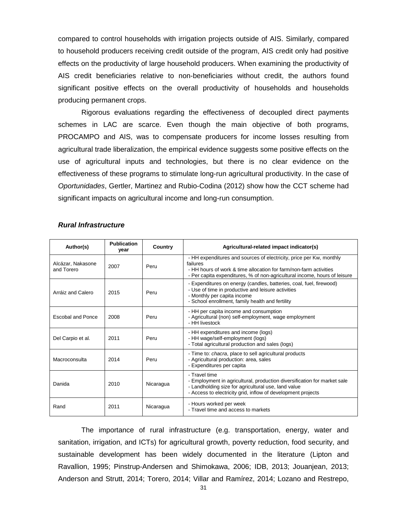compared to control households with irrigation projects outside of AIS. Similarly, compared to household producers receiving credit outside of the program, AIS credit only had positive effects on the productivity of large household producers. When examining the productivity of AIS credit beneficiaries relative to non-beneficiaries without credit, the authors found significant positive effects on the overall productivity of households and households producing permanent crops.

Rigorous evaluations regarding the effectiveness of decoupled direct payments schemes in LAC are scarce. Even though the main objective of both programs, PROCAMPO and AIS, was to compensate producers for income losses resulting from agricultural trade liberalization, the empirical evidence suggests some positive effects on the use of agricultural inputs and technologies, but there is no clear evidence on the effectiveness of these programs to stimulate long-run agricultural productivity. In the case of *Oportunidades*, Gertler, Martinez and Rubio-Codina (2012) show how the CCT scheme had significant impacts on agricultural income and long-run consumption.

| Author(s)                       | <b>Publication</b><br>vear | Country   | Agricultural-related impact indicator(s)                                                                                                                                                                                          |
|---------------------------------|----------------------------|-----------|-----------------------------------------------------------------------------------------------------------------------------------------------------------------------------------------------------------------------------------|
| Alcázar, Nakasone<br>and Torero | 2007                       | Peru      | - HH expenditures and sources of electricity, price per Kw, monthly<br>failures<br>- HH hours of work & time allocation for farm/non-farm activities<br>- Per capita expenditures, % of non-agricultural income, hours of leisure |
| Arráiz and Calero               | 2015                       | Peru      | - Expenditures on energy (candles, batteries, coal, fuel, firewood)<br>- Use of time in productive and leisure activities<br>- Monthly per capita income<br>- School enrollment, family health and fertility                      |
| Escobal and Ponce               | 2008                       | Peru      | - HH per capita income and consumption<br>- Agricultural (non) self-employment, wage employment<br>- HH livestock                                                                                                                 |
| Del Carpio et al.               | 2011                       | Peru      | - HH expenditures and income (logs)<br>- HH wage/self-employment (logs)<br>- Total agricultural production and sales (logs)                                                                                                       |
| Macroconsulta                   | 2014                       | Peru      | - Time to: <i>chacra</i> , place to sell agricultural products<br>- Agricultural production: area, sales<br>- Expenditures per capita                                                                                             |
| Danida                          | 2010                       | Nicaragua | - Travel time<br>- Employment in agricultural, production diversification for market sale<br>- Landholding size for agricultural use, land value<br>- Access to electricity grid, inflow of development projects                  |
| Rand                            | 2011                       | Nicaragua | - Hours worked per week<br>- Travel time and access to markets                                                                                                                                                                    |

#### <span id="page-35-0"></span>*Rural Infrastructure*

The importance of rural infrastructure (e.g. transportation, energy, water and sanitation, irrigation, and ICTs) for agricultural growth, poverty reduction, food security, and sustainable development has been widely documented in the literature (Lipton and Ravallion, 1995; Pinstrup-Andersen and Shimokawa, 2006; IDB, 2013; Jouanjean, 2013; Anderson and Strutt, 2014; Torero, 2014; Villar and Ramírez, 2014; Lozano and Restrepo,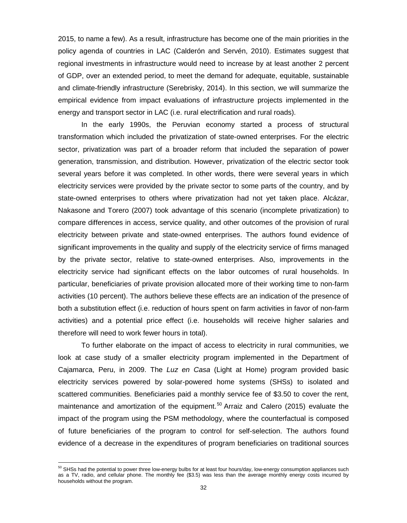2015, to name a few). As a result, infrastructure has become one of the main priorities in the policy agenda of countries in LAC (Calderón and Servén, 2010). Estimates suggest that regional investments in infrastructure would need to increase by at least another 2 percent of GDP, over an extended period, to meet the demand for adequate, equitable, sustainable and climate-friendly infrastructure (Serebrisky, 2014). In this section, we will summarize the empirical evidence from impact evaluations of infrastructure projects implemented in the energy and transport sector in LAC (i.e. rural electrification and rural roads).

In the early 1990s, the Peruvian economy started a process of structural transformation which included the privatization of state-owned enterprises. For the electric sector, privatization was part of a broader reform that included the separation of power generation, transmission, and distribution. However, privatization of the electric sector took several years before it was completed. In other words, there were several years in which electricity services were provided by the private sector to some parts of the country, and by state-owned enterprises to others where privatization had not yet taken place. Alcázar, Nakasone and Torero (2007) took advantage of this scenario (incomplete privatization) to compare differences in access, service quality, and other outcomes of the provision of rural electricity between private and state-owned enterprises. The authors found evidence of significant improvements in the quality and supply of the electricity service of firms managed by the private sector, relative to state-owned enterprises. Also, improvements in the electricity service had significant effects on the labor outcomes of rural households. In particular, beneficiaries of private provision allocated more of their working time to non-farm activities (10 percent). The authors believe these effects are an indication of the presence of both a substitution effect (i.e. reduction of hours spent on farm activities in favor of non-farm activities) and a potential price effect (i.e. households will receive higher salaries and therefore will need to work fewer hours in total).

To further elaborate on the impact of access to electricity in rural communities, we look at case study of a smaller electricity program implemented in the Department of Cajamarca, Peru, in 2009. The *Luz en Casa* (Light at Home) program provided basic electricity services powered by solar-powered home systems (SHSs) to isolated and scattered communities. Beneficiaries paid a monthly service fee of \$3.50 to cover the rent, maintenance and amortization of the equipment.<sup>[50](#page-36-0)</sup> Arraiz and Calero (2015) evaluate the impact of the program using the PSM methodology, where the counterfactual is composed of future beneficiaries of the program to control for self-selection. The authors found evidence of a decrease in the expenditures of program beneficiaries on traditional sources

<span id="page-36-0"></span> $^{50}$  SHSs had the potential to power three low-energy bulbs for at least four hours/day, low-energy consumption appliances such as a TV, radio, and cellular phone. The monthly fee (\$3.5) was less than the average monthly energy costs incurred by households without the program.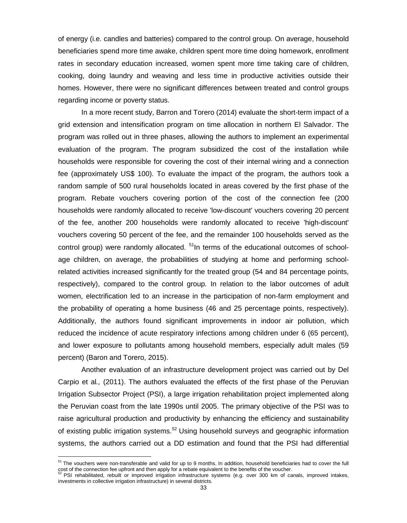of energy (i.e. candles and batteries) compared to the control group. On average, household beneficiaries spend more time awake, children spent more time doing homework, enrollment rates in secondary education increased, women spent more time taking care of children, cooking, doing laundry and weaving and less time in productive activities outside their homes. However, there were no significant differences between treated and control groups regarding income or poverty status.

In a more recent study, Barron and Torero (2014) evaluate the short-term impact of a grid extension and intensification program on time allocation in northern El Salvador. The program was rolled out in three phases, allowing the authors to implement an experimental evaluation of the program. The program subsidized the cost of the installation while households were responsible for covering the cost of their internal wiring and a connection fee (approximately US\$ 100). To evaluate the impact of the program, the authors took a random sample of 500 rural households located in areas covered by the first phase of the program. Rebate vouchers covering portion of the cost of the connection fee (200 households were randomly allocated to receive 'low-discount' vouchers covering 20 percent of the fee, another 200 households were randomly allocated to receive 'high-discount' vouchers covering 50 percent of the fee, and the remainder 100 households served as the control group) were randomly allocated.  $51$ In terms of the educational outcomes of schoolage children, on average, the probabilities of studying at home and performing schoolrelated activities increased significantly for the treated group (54 and 84 percentage points, respectively), compared to the control group. In relation to the labor outcomes of adult women, electrification led to an increase in the participation of non-farm employment and the probability of operating a home business (46 and 25 percentage points, respectively). Additionally, the authors found significant improvements in indoor air pollution, which reduced the incidence of acute respiratory infections among children under 6 (65 percent), and lower exposure to pollutants among household members, especially adult males (59 percent) (Baron and Torero, 2015).

Another evaluation of an infrastructure development project was carried out by Del Carpio et al*.,* (2011). The authors evaluated the effects of the first phase of the Peruvian Irrigation Subsector Project (PSI), a large irrigation rehabilitation project implemented along the Peruvian coast from the late 1990s until 2005. The primary objective of the PSI was to raise agricultural production and productivity by enhancing the efficiency and sustainability of existing public irrigation systems.<sup>[52](#page-37-1)</sup> Using household surveys and geographic information systems, the authors carried out a DD estimation and found that the PSI had differential

<span id="page-37-0"></span><sup>&</sup>lt;sup>51</sup> The vouchers were non-transferable and valid for up to 9 months. In addition, household beneficiaries had to cover the full cost of the connection fee upfront and then apply for a rebate equivalent to the benefits of the voucher.<br><sup>52</sup> PSI rehabilitated, rebuilt or improved irrigation infrastructure systems (e.g. over 300 km of canals, improved

<span id="page-37-1"></span>investments in collective irrigation infrastructure) in several districts.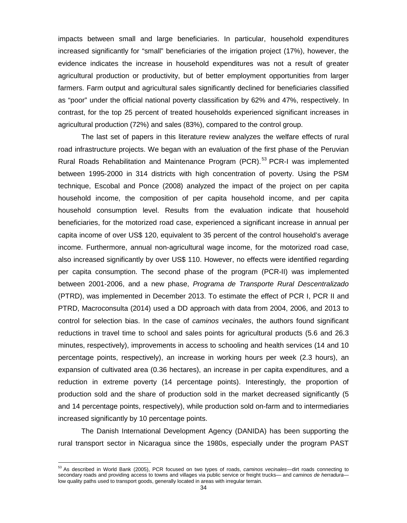impacts between small and large beneficiaries. In particular, household expenditures increased significantly for "small" beneficiaries of the irrigation project (17%), however, the evidence indicates the increase in household expenditures was not a result of greater agricultural production or productivity, but of better employment opportunities from larger farmers. Farm output and agricultural sales significantly declined for beneficiaries classified as "poor" under the official national poverty classification by 62% and 47%, respectively. In contrast, for the top 25 percent of treated households experienced significant increases in agricultural production (72%) and sales (83%), compared to the control group.

The last set of papers in this literature review analyzes the welfare effects of rural road infrastructure projects. We began with an evaluation of the first phase of the Peruvian Rural Roads Rehabilitation and Maintenance Program (PCR). [53](#page-38-0) PCR-I was implemented between 1995-2000 in 314 districts with high concentration of poverty. Using the PSM technique, Escobal and Ponce (2008) analyzed the impact of the project on per capita household income, the composition of per capita household income, and per capita household consumption level. Results from the evaluation indicate that household beneficiaries, for the motorized road case, experienced a significant increase in annual per capita income of over US\$ 120, equivalent to 35 percent of the control household's average income. Furthermore, annual non-agricultural wage income, for the motorized road case, also increased significantly by over US\$ 110. However, no effects were identified regarding per capita consumption. The second phase of the program (PCR-II) was implemented between 2001-2006, and a new phase, *Programa de Transporte Rural Descentralizado* (PTRD), was implemented in December 2013. To estimate the effect of PCR I, PCR II and PTRD, Macroconsulta (2014) used a DD approach with data from 2004, 2006, and 2013 to control for selection bias. In the case of *caminos vecinales*, the authors found significant reductions in travel time to school and sales points for agricultural products (5.6 and 26.3 minutes, respectively), improvements in access to schooling and health services (14 and 10 percentage points, respectively), an increase in working hours per week (2.3 hours), an expansion of cultivated area (0.36 hectares), an increase in per capita expenditures, and a reduction in extreme poverty (14 percentage points). Interestingly, the proportion of production sold and the share of production sold in the market decreased significantly (5 and 14 percentage points, respectively), while production sold on-farm and to intermediaries increased significantly by 10 percentage points.

The Danish International Development Agency (DANIDA) has been supporting the rural transport sector in Nicaragua since the 1980s, especially under the program PAST

<span id="page-38-0"></span><sup>53</sup> As described in World Bank (2005), PCR focused on two types of roads, *caminos vecinales—*dirt roads connecting to secondary roads and providing access to towns and villages via public service or freight trucks*—* and *caminos de herradura* low quality paths used to transport goods, generally located in areas with irregular terrain.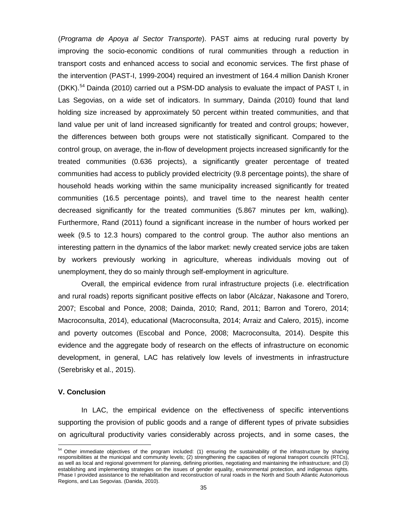(*Programa de Apoya al Sector Transporte*). PAST aims at reducing rural poverty by improving the socio-economic conditions of rural communities through a reduction in transport costs and enhanced access to social and economic services. The first phase of the intervention (PAST-I, 1999-2004) required an investment of 164.4 million Danish Kroner (DKK).[54](#page-39-1) Dainda (2010) carried out a PSM-DD analysis to evaluate the impact of PAST I, in Las Segovias, on a wide set of indicators. In summary, Dainda (2010) found that land holding size increased by approximately 50 percent within treated communities, and that land value per unit of land increased significantly for treated and control groups; however, the differences between both groups were not statistically significant. Compared to the control group, on average, the in-flow of development projects increased significantly for the treated communities (0.636 projects), a significantly greater percentage of treated communities had access to publicly provided electricity (9.8 percentage points), the share of household heads working within the same municipality increased significantly for treated communities (16.5 percentage points), and travel time to the nearest health center decreased significantly for the treated communities (5.867 minutes per km, walking). Furthermore, Rand (2011) found a significant increase in the number of hours worked per week (9.5 to 12.3 hours) compared to the control group. The author also mentions an interesting pattern in the dynamics of the labor market: newly created service jobs are taken by workers previously working in agriculture, whereas individuals moving out of unemployment, they do so mainly through self-employment in agriculture.

Overall, the empirical evidence from rural infrastructure projects (i.e. electrification and rural roads) reports significant positive effects on labor (Alcázar, Nakasone and Torero, 2007; Escobal and Ponce, 2008; Dainda, 2010; Rand, 2011; Barron and Torero, 2014; Macroconsulta, 2014), educational (Macroconsulta, 2014; Arraiz and Calero, 2015), income and poverty outcomes (Escobal and Ponce, 2008; Macroconsulta, 2014). Despite this evidence and the aggregate body of research on the effects of infrastructure on economic development, in general, LAC has relatively low levels of investments in infrastructure (Serebrisky et al., 2015).

#### <span id="page-39-0"></span>**V. Conclusion**

 $\overline{a}$ 

In LAC, the empirical evidence on the effectiveness of specific interventions supporting the provision of public goods and a range of different types of private subsidies on agricultural productivity varies considerably across projects, and in some cases, the

<span id="page-39-1"></span><sup>&</sup>lt;sup>54</sup> Other immediate objectives of the program included: (1) ensuring the sustainability of the infrastructure by sharing responsibilities at the municipal and community levels; (2) strengthening the capacities of regional transport councils (RTCs), as well as local and regional government for planning, defining priorities, negotiating and maintaining the infrastructure; and (3) establishing and implementing strategies on the issues of gender equality, environmental protection, and indigenous rights. Phase I provided assistance to the rehabilitation and reconstruction of rural roads in the North and South Atlantic Autonomous Regions, and Las Segovias. (Danida, 2010).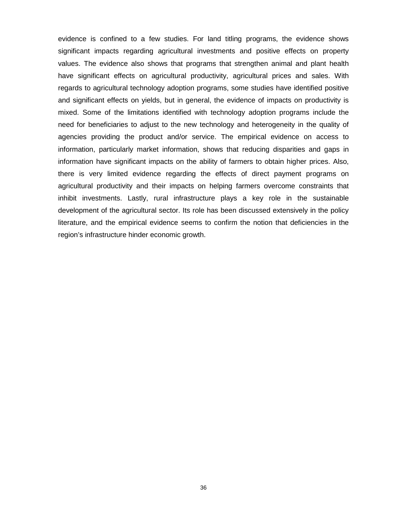evidence is confined to a few studies. For land titling programs, the evidence shows significant impacts regarding agricultural investments and positive effects on property values. The evidence also shows that programs that strengthen animal and plant health have significant effects on agricultural productivity, agricultural prices and sales. With regards to agricultural technology adoption programs, some studies have identified positive and significant effects on yields, but in general, the evidence of impacts on productivity is mixed. Some of the limitations identified with technology adoption programs include the need for beneficiaries to adjust to the new technology and heterogeneity in the quality of agencies providing the product and/or service. The empirical evidence on access to information, particularly market information, shows that reducing disparities and gaps in information have significant impacts on the ability of farmers to obtain higher prices. Also, there is very limited evidence regarding the effects of direct payment programs on agricultural productivity and their impacts on helping farmers overcome constraints that inhibit investments. Lastly, rural infrastructure plays a key role in the sustainable development of the agricultural sector. Its role has been discussed extensively in the policy literature, and the empirical evidence seems to confirm the notion that deficiencies in the region's infrastructure hinder economic growth.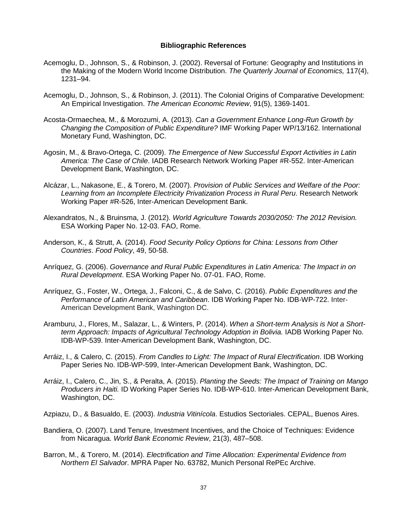#### **Bibliographic References**

- Acemoglu, D., Johnson, S., & Robinson, J. (2002). Reversal of Fortune: Geography and Institutions in the Making of the Modern World Income Distribution. *The Quarterly Journal of Economics,* 117(4), 1231–94.
- Acemoglu, D., Johnson, S., & Robinson, J. (2011). The Colonial Origins of Comparative Development: An Empirical Investigation. *The American Economic Review*, 91(5), 1369-1401.
- Acosta-Ormaechea, M., & Morozumi, A. (2013). *Can a Government Enhance Long-Run Growth by Changing the Composition of Public Expenditure?* IMF Working Paper WP/13/162. International Monetary Fund, Washington, DC.
- Agosin, M., & Bravo-Ortega, C. (2009). *The Emergence of New Successful Export Activities in Latin America: The Case of Chile*. IADB Research Network Working Paper #R-552. Inter-American Development Bank, Washington, DC.
- Alcázar, L., Nakasone, E., & Torero, M. (2007). *Provision of Public Services and Welfare of the Poor: Learning from an Incomplete Electricity Privatization Process in Rural Peru*. Research Network Working Paper #R-526, Inter-American Development Bank.
- Alexandratos, N., & Bruinsma, J. (2012). *World Agriculture Towards 2030/2050: The 2012 Revision.* ESA Working Paper No. 12-03. FAO, Rome.
- Anderson, K., & Strutt, A. (2014). *Food Security Policy Options for China: Lessons from Other Countries*. *Food Policy*, 49, 50-58.
- Anríquez, G. (2006). *Governance and Rural Public Expenditures in Latin America: The Impact in on Rural Development*. ESA Working Paper No. 07-01. FAO, Rome.
- Anríquez, G., Foster, W., Ortega, J., Falconi, C., & de Salvo, C. (2016). *Public Expenditures and the Performance of Latin American and Caribbean*. IDB Working Paper No. IDB-WP-722. Inter-American Development Bank, Washington DC.
- Aramburu, J., Flores, M., Salazar, L., & Winters, P. (2014). *When a Short-term Analysis is Not a Shortterm Approach: Impacts of Agricultural Technology Adoption in Bolivia.* IADB Working Paper No. IDB-WP-539. Inter-American Development Bank, Washington, DC.
- Arráiz, I., & Calero, C. (2015). *From Candles to Light: The Impact of Rural Electrification*. IDB Working Paper Series No. IDB-WP-599, Inter-American Development Bank, Washington, DC.
- Arráiz, I., Calero, C., Jin, S., & Peralta, A. (2015). *Planting the Seeds: The Impact of Training on Mango Producers in Haiti.* ID Working Paper Series No. IDB-WP-610. Inter-American Development Bank, Washington, DC.
- Azpiazu, D., & Basualdo, E. (2003). *Industria Vitinícola*. Estudios Sectoriales. CEPAL, Buenos Aires.
- Bandiera, O. (2007). Land Tenure, Investment Incentives, and the Choice of Techniques: Evidence from Nicaragua. *World Bank Economic Review*, 21(3), 487–508.
- Barron, M., & Torero, M. (2014). *Electrification and Time Allocation: Experimental Evidence from Northern El Salvador*. MPRA Paper No. 63782, Munich Personal RePEc Archive.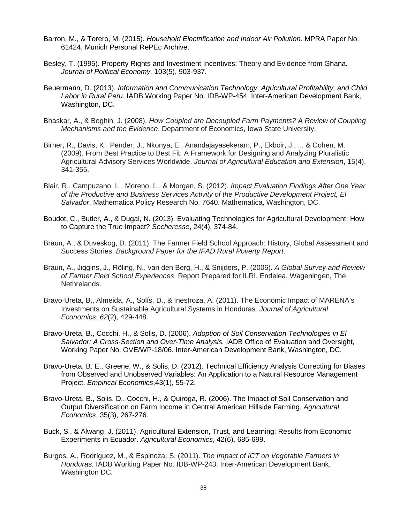- Barron, M., & Torero, M. (2015). *Household Electrification and Indoor Air Pollution*. MPRA Paper No. 61424, Munich Personal RePEc Archive.
- Besley, T. (1995). Property Rights and Investment Incentives: Theory and Evidence from Ghana. *Journal of Political Economy,* 103(5), 903-937.
- Beuermann, D. (2013). *Information and Communication Technology, Agricultural Profitability, and Child Labor in Rural Peru.* IADB Working Paper No. IDB-WP-454. Inter-American Development Bank, Washington, DC.
- Bhaskar, A., & Beghin, J. (2008). *How Coupled are Decoupled Farm Payments? A Review of Coupling Mechanisms and the Evidence*. Department of Economics, Iowa State University.
- Birner, R., Davis, K., Pender, J., Nkonya, E., Anandajayasekeram, P., Ekboir, J., ... & Cohen, M. (2009). From Best Practice to Best Fit: A Framework for Designing and Analyzing Pluralistic Agricultural Advisory Services Worldwide. *Journal of Agricultural Education and Extension*, 15(4), 341-355.
- Blair, R., Campuzano, L., Moreno, L., & Morgan, S. (2012). *Impact Evaluation Findings After One Year of the Productive and Business Services Activity of the Productive Development Project, El Salvador*. Mathematica Policy Research No. 7640. Mathematica, Washington, DC.
- Boudot, C., Butler, A., & Dugal, N. (2013). Evaluating Technologies for Agricultural Development: How to Capture the True Impact? *Secheresse*, 24(4), 374-84.
- Braun, A., & Duveskog, D. (2011). The Farmer Field School Approach: History, Global Assessment and Success Stories. *Background Paper for the IFAD Rural Poverty Report*.
- Braun, A., Jiggins, J., Röling, N., van den Berg, H., & Snijders, P. (2006). *A Global Survey and Review of Farmer Field School Experiences*. Report Prepared for ILRI. Endelea, Wageningen, The Nethrelands.
- Bravo‐Ureta, B., Almeida, A., Solís, D., & Inestroza, A. (2011). The Economic Impact of MARENA's Investments on Sustainable Agricultural Systems in Honduras. *Journal of Agricultural Economics*, *62*(2), 429-448.
- Bravo-Ureta, B., Cocchi, H., & Solis, D. (2006). *Adoption of Soil Conservation Technologies in El Salvador: A Cross-Section and Over-Time Analysis.* IADB Office of Evaluation and Oversight, Working Paper No. OVE/WP-18/06. Inter-American Development Bank, Washington, DC.
- Bravo-Ureta, B. E., Greene, W., & Solís, D. (2012). Technical Efficiency Analysis Correcting for Biases from Observed and Unobserved Variables: An Application to a Natural Resource Management Project. *Empirical Economics*,43(1), 55-72.
- Bravo-Ureta, B., Solis, D., Cocchi, H., & Quiroga, R. (2006). The Impact of Soil Conservation and Output Diversification on Farm Income in Central American Hillside Farming. *Agricultural Economics*, 35(3), 267-276.
- Buck, S., & Alwang, J. (2011). Agricultural Extension, Trust, and Learning: Results from Economic Experiments in Ecuador. *Agricultural Economics*, 42(6), 685-699.
- Burgos, A., Rodríguez, M., & Espinoza, S. (2011). *The Impact of ICT on Vegetable Farmers in Honduras.* IADB Working Paper No. IDB-WP-243. Inter-American Development Bank, Washington DC.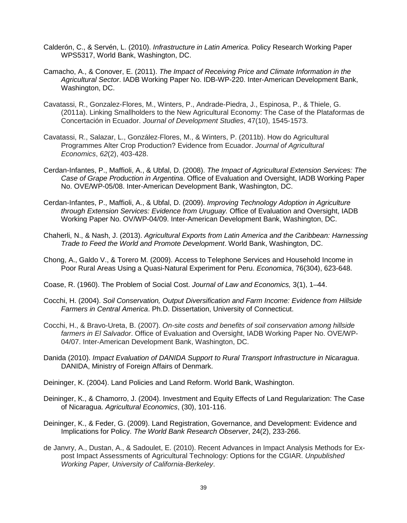- Calderón, C., & Servén, L. (2010). *Infrastructure in Latin America*. Policy Research Working Paper WPS5317, World Bank, Washington, DC.
- Camacho, A., & Conover, E. (2011). *The Impact of Receiving Price and Climate Information in the Agricultural Sector*. IADB Working Paper No. IDB-WP-220. Inter-American Development Bank, Washington, DC.
- Cavatassi, R., Gonzalez-Flores, M., Winters, P., Andrade-Piedra, J., Espinosa, P., & Thiele, G. (2011a). Linking Smallholders to the New Agricultural Economy: The Case of the Plataformas de Concertación in Ecuador. *Journal of Development Studies*, 47(10), 1545-1573.
- Cavatassi, R., Salazar, L., González‐Flores, M., & Winters, P. (2011b). How do Agricultural Programmes Alter Crop Production? Evidence from Ecuador. *Journal of Agricultural Economics*, *62*(2), 403-428.
- Cerdan-Infantes, P., Maffioli, A., & Ubfal, D. (2008). *The Impact of Agricultural Extension Services: The Case of Grape Production in Argentina*. Office of Evaluation and Oversight, IADB Working Paper No. OVE/WP-05/08. Inter-American Development Bank, Washington, DC.
- Cerdan-Infantes, P., Maffioli, A., & Ubfal, D. (2009). *Improving Technology Adoption in Agriculture through Extension Services: Evidence from Uruguay.* Office of Evaluation and Oversight, IADB Working Paper No. OV/WP-04/09. Inter-American Development Bank, Washington, DC.
- Chaherli, N., & Nash, J. (2013). *Agricultural Exports from Latin America and the Caribbean: Harnessing Trade to Feed the World and Promote Development*. World Bank, Washington, DC.
- Chong, A., Galdo V., & Torero M. (2009). Access to Telephone Services and Household Income in Poor Rural Areas Using a Quasi-Natural Experiment for Peru. *Economica*, 76(304), 623-648.
- Coase, R. (1960). The Problem of Social Cost. *Journal of Law and Economics,* 3(1), 1–44.
- Cocchi, H. (2004). *Soil Conservation, Output Diversification and Farm Income: Evidence from Hillside Farmers in Central America*. Ph.D. Dissertation, University of Connecticut.
- Cocchi, H., & Bravo-Ureta, B. (2007). *On-site costs and benefits of soil conservation among hillside farmers in El Salvador*. Office of Evaluation and Oversight, IADB Working Paper No. OVE/WP-04/07. Inter-American Development Bank, Washington, DC.
- Danida (2010). *Impact Evaluation of DANIDA Support to Rural Transport Infrastructure in Nicaragua*. DANIDA, Ministry of Foreign Affairs of Denmark.
- Deininger, K. (2004). Land Policies and Land Reform. World Bank, Washington.
- Deininger, K., & Chamorro, J. (2004). Investment and Equity Effects of Land Regularization: The Case of Nicaragua. *Agricultural Economics*, (30), 101-116.
- Deininger, K., & Feder, G. (2009). Land Registration, Governance, and Development: Evidence and Implications for Policy. *The World Bank Research Observer*, 24(2), 233-266.
- de Janvry, A., Dustan, A., & Sadoulet, E. (2010). Recent Advances in Impact Analysis Methods for Expost Impact Assessments of Agricultural Technology: Options for the CGIAR. *Unpublished Working Paper, University of California-Berkeley*.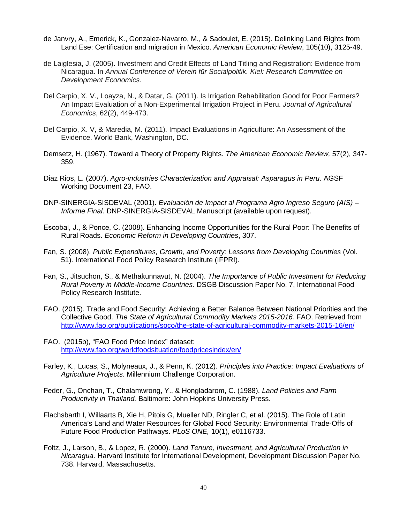- de Janvry, A., Emerick, K., Gonzalez-Navarro, M., & Sadoulet, E. (2015). Delinking Land Rights from Land Ese: Certification and migration in Mexico. *American Economic Review*, 105(10), 3125-49.
- de Laiglesia, J. (2005). Investment and Credit Effects of Land Titling and Registration: Evidence from Nicaragua. In *Annual Conference of Verein für Socialpolitik. Kiel: Research Committee on Development Economics*.
- Del Carpio, X. V., Loayza, N., & Datar, G. (2011). Is Irrigation Rehabilitation Good for Poor Farmers? An Impact Evaluation of a Non‐Experimental Irrigation Project in Peru. *Journal of Agricultural Economics*, 62(2), 449-473.
- Del Carpio, X. V, & Maredia, M. (2011). Impact Evaluations in Agriculture: An Assessment of the Evidence. World Bank, Washington, DC.
- Demsetz, H. (1967). Toward a Theory of Property Rights. *The American Economic Review,* 57(2), 347- 359.
- Diaz Rios, L. (2007). *Agro-industries Characterization and Appraisal: Asparagus in Peru*. AGSF Working Document 23, FAO.
- DNP-SINERGIA-SISDEVAL (2001). *Evaluación de Impact al Programa Agro Ingreso Seguro (AIS) – Informe Final*. DNP-SINERGIA-SISDEVAL Manuscript (available upon request).
- Escobal, J., & Ponce, C. (2008). Enhancing Income Opportunities for the Rural Poor: The Benefits of Rural Roads. *Economic Reform in Developing Countries*, 307.
- Fan, S. (2008). *Public Expenditures, Growth, and Poverty: Lessons from Developing Countries* (Vol. 51). International Food Policy Research Institute (IFPRI).
- Fan, S., Jitsuchon, S., & Methakunnavut, N. (2004). *The Importance of Public Investment for Reducing Rural Poverty in Middle-Income Countries.* DSGB Discussion Paper No. 7, International Food Policy Research Institute.
- FAO. (2015). Trade and Food Security: Achieving a Better Balance Between National Priorities and the Collective Good. *The State of Agricultural Commodity Markets 2015-2016.* FAO. Retrieved from <http://www.fao.org/publications/soco/the-state-of-agricultural-commodity-markets-2015-16/en/>
- FAO. (2015b), "FAO Food Price Index" dataset: <http://www.fao.org/worldfoodsituation/foodpricesindex/en/>
- Farley, K., Lucas, S., Molyneaux, J., & Penn, K. (2012). *Principles into Practice: Impact Evaluations of Agriculture Projects*. Millennium Challenge Corporation.
- Feder, G., Onchan, T., Chalamwrong, Y., & Hongladarom, C. (1988). *Land Policies and Farm Productivity in Thailand.* Baltimore: John Hopkins University Press.
- Flachsbarth I, Willaarts B, Xie H, Pitois G, Mueller ND, Ringler C, et al. (2015). The Role of Latin America's Land and Water Resources for Global Food Security: Environmental Trade-Offs of Future Food Production Pathways. *PLoS ONE,* 10(1), e0116733.
- Foltz, J., Larson, B., & Lopez, R. (2000). *Land Tenure, Investment, and Agricultural Production in Nicaragua*. Harvard Institute for International Development, Development Discussion Paper No. 738. Harvard, Massachusetts.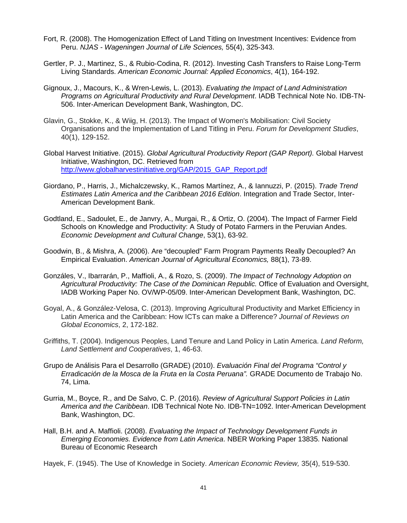- Fort, R. (2008). The Homogenization Effect of Land Titling on Investment Incentives: Evidence from Peru. *NJAS - Wageningen Journal of Life Sciences,* 55(4), 325-343.
- Gertler, P. J., Martinez, S., & Rubio-Codina, R. (2012). Investing Cash Transfers to Raise Long-Term Living Standards. *American Economic Journal: Applied Economics*, 4(1), 164-192.
- Gignoux, J., Macours, K., & Wren-Lewis, L. (2013). *Evaluating the Impact of Land Administration Programs on Agricultural Productivity and Rural Development*. IADB Technical Note No. IDB-TN-506. Inter-American Development Bank, Washington, DC.
- Glavin, G., Stokke, K., & Wiig, H. (2013). The Impact of Women's Mobilisation: Civil Society Organisations and the Implementation of Land Titling in Peru. *Forum for Development Studies*, 40(1), 129-152.
- Global Harvest Initiative. (2015). *Global Agricultural Productivity Report (GAP Report).* Global Harvest Initiative, Washington, DC. Retrieved from [http://www.globalharvestinitiative.org/GAP/2015\\_GAP\\_Report.pdf](http://www.globalharvestinitiative.org/GAP/2015_GAP_Report.pdf)
- Giordano, P., Harris, J., Michalczewsky, K., Ramos Martínez, A., & Iannuzzi, P. (2015). *Trade Trend Estimates Latin America and the Caribbean 2016 Edition*. Integration and Trade Sector, Inter-American Development Bank.
- Godtland, E., Sadoulet, E., de Janvry, A., Murgai, R., & Ortiz, O. (2004). The Impact of Farmer Field Schools on Knowledge and Productivity: A Study of Potato Farmers in the Peruvian Andes. *Economic Development and Cultural Change*, 53(1), 63-92.
- Goodwin, B., & Mishra, A. (2006). Are "decoupled" Farm Program Payments Really Decoupled? An Empirical Evaluation. *American Journal of Agricultural Economics,* 88(1), 73-89.
- Gonzáles, V., Ibarrarán, P., Maffioli, A., & Rozo, S. (2009). *The Impact of Technology Adoption on Agricultural Productivity: The Case of the Dominican Republic.* Office of Evaluation and Oversight, IADB Working Paper No. OV/WP-05/09. Inter-American Development Bank, Washington, DC.
- Goyal, A., & González-Velosa, C. (2013). Improving Agricultural Productivity and Market Efficiency in Latin America and the Caribbean: How ICTs can make a Difference? *Journal of Reviews on Global Economics*, 2, 172-182.
- Griffiths, T. (2004). Indigenous Peoples, Land Tenure and Land Policy in Latin America. *Land Reform, Land Settlement and Cooperatives*, 1, 46-63.
- Grupo de Análisis Para el Desarrollo (GRADE) (2010). *Evaluación Final del Programa "Control y Erradicación de la Mosca de la Fruta en la Costa Peruana".* GRADE Documento de Trabajo No. 74, Lima.
- Gurria, M., Boyce, R., and De Salvo, C. P. (2016). *Review of Agricultural Support Policies in Latin America and the Caribbean*. IDB Technical Note No. IDB-TN=1092. Inter-American Development Bank, Washington, DC.
- Hall, B.H. and A. Maffioli. (2008). *Evaluating the Impact of Technology Development Funds in Emerging Economies. Evidence from Latin America*. NBER Working Paper 13835. National Bureau of Economic Research

Hayek, F. (1945). The Use of Knowledge in Society. *American Economic Review,* 35(4), 519-530.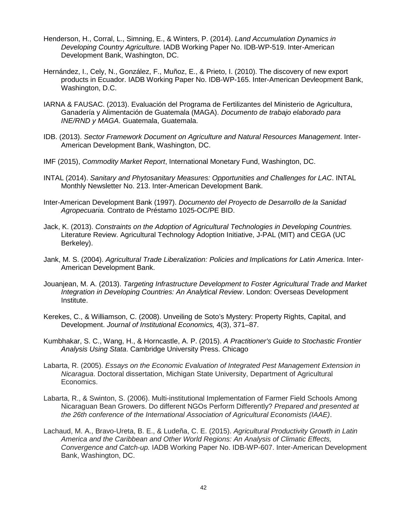- Henderson, H., Corral, L., Simning, E., & Winters, P. (2014). *Land Accumulation Dynamics in Developing Country Agriculture.* IADB Working Paper No. IDB-WP-519. Inter-American Development Bank, Washington, DC.
- Hernández, I., Cely, N., González, F., Muñoz, E., & Prieto, I. (2010). The discovery of new export products in Ecuador. IADB Working Paper No. IDB-WP-165. Inter-American Devleopment Bank, Washington, D.C.
- IARNA & FAUSAC. (2013). Evaluación del Programa de Fertilizantes del Ministerio de Agricultura, Ganadería y Alimentación de Guatemala (MAGA). *Documento de trabajo elaborado para INE/RND y MAGA*. Guatemala, Guatemala.
- IDB. (2013). *Sector Framework Document on Agriculture and Natural Resources Management*. Inter-American Development Bank, Washington, DC.
- IMF (2015), *Commodity Market Report*, International Monetary Fund, Washington, DC.
- INTAL (2014). *Sanitary and Phytosanitary Measures: Opportunities and Challenges for LAC*. INTAL Monthly Newsletter No. 213. Inter-American Development Bank.
- Inter-American Development Bank (1997). *Documento del Proyecto de Desarrollo de la Sanidad Agropecuaria.* Contrato de Préstamo 1025-OC/PE BID.
- Jack, K. (2013). *Constraints on the Adoption of Agricultural Technologies in Developing Countries.*  Literature Review. Agricultural Technology Adoption Initiative, J-PAL (MIT) and CEGA (UC Berkeley).
- Jank, M. S. (2004). *Agricultural Trade Liberalization: Policies and Implications for Latin America*. Inter-American Development Bank.
- Jouanjean, M. A. (2013). *Targeting Infrastructure Development to Foster Agricultural Trade and Market Integration in Developing Countries: An Analytical Review*. London: Overseas Development Institute.
- Kerekes, C., & Williamson, C. (2008). Unveiling de Soto's Mystery: Property Rights, Capital, and Development. *Journal of Institutional Economics,* 4(3), 371–87.
- Kumbhakar, S. C., Wang, H., & Horncastle, A. P. (2015). *A Practitioner's Guide to Stochastic Frontier Analysis Using Stata*. Cambridge University Press. Chicago
- Labarta, R. (2005). *Essays on the Economic Evaluation of Integrated Pest Management Extension in Nicaragua*. Doctoral dissertation, Michigan State University, Department of Agricultural Economics.
- Labarta, R., & Swinton, S. (2006). Multi-institutional Implementation of Farmer Field Schools Among Nicaraguan Bean Growers. Do different NGOs Perform Differently? *Prepared and presented at the 26th conference of the International Association of Agricultural Economists (IAAE)*.
- Lachaud, M. A., Bravo-Ureta, B. E., & Ludeña, C. E. (2015). *Agricultural Productivity Growth in Latin America and the Caribbean and Other World Regions: An Analysis of Climatic Effects, Convergence and Catch-up.* IADB Working Paper No. IDB-WP-607. Inter-American Development Bank, Washington, DC.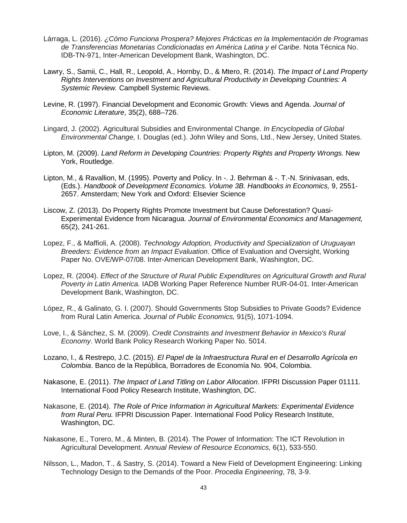- Lárraga, L. (2016). *¿Cómo Funciona Prospera? Mejores Prácticas en la Implementación de Programas de Transferencias Monetarias Condicionadas en América Latina y el Caribe*. Nota Técnica No. IDB-TN-971, Inter-American Development Bank, Washington, DC.
- Lawry, S., Samii, C., Hall, R., Leopold, A., Hornby, D., & Mtero, R. (2014). *The Impact of Land Property Rights Interventions on Investment and Agricultural Productivity in Developing Countries: A Systemic Review.* Campbell Systemic Reviews.
- Levine, R. (1997). Financial Development and Economic Growth: Views and Agenda. *Journal of Economic Literature*, 35(2), 688–726.
- Lingard, J. (2002). Agricultural Subsidies and Environmental Change. *In Encyclopedia of Global Environmental Change,* I. Douglas (ed.). John Wiley and Sons, Ltd., New Jersey, United States.
- Lipton, M. (2009). *Land Reform in Developing Countries: Property Rights and Property Wrongs.* New York, Routledge.
- Lipton, M., & Ravallion, M. (1995). Poverty and Policy. In -. J. Behrman & -. T.-N. Srinivasan, eds, (Eds.). *Handbook of Development Economics. Volume 3B. Handbooks in Economics,* 9, 2551- 2657. Amsterdam; New York and Oxford: Elsevier Science
- Liscow, Z. (2013). Do Property Rights Promote Investment but Cause Deforestation? Quasi-Experimental Evidence from Nicaragua. *Journal of Environmental Economics and Management,*  65(2), 241-261.
- Lopez, F., & Maffioli, A. (2008). *Technology Adoption, Productivity and Specialization of Uruguayan Breeders: Evidence from an Impact Evaluation*. Office of Evaluation and Oversight, Working Paper No. OVE/WP-07/08. Inter-American Development Bank, Washington, DC.
- Lopez, R. (2004). *Effect of the Structure of Rural Public Expenditures on Agricultural Growth and Rural Poverty in Latin America.* IADB Working Paper Reference Number RUR-04-01. Inter-American Development Bank, Washington, DC.
- López, R., & Galinato, G. I. (2007). Should Governments Stop Subsidies to Private Goods? Evidence from Rural Latin America. *Journal of Public Economics,* 91(5), 1071-1094.
- Love, I., & Sánchez, S. M. (2009). *Credit Constraints and Investment Behavior in Mexico's Rural Economy*. World Bank Policy Research Working Paper No. 5014.
- Lozano, I., & Restrepo, J.C. (2015). *El Papel de la Infraestructura Rural en el Desarrollo Agrícola en Colombia*. Banco de la República, Borradores de Economía No. 904, Colombia.
- Nakasone, E. (2011). *The Impact of Land Titling on Labor Allocation*. IFPRI Discussion Paper 01111. International Food Policy Research Institute, Washington, DC.
- Nakasone, E. (2014). *The Role of Price Information in Agricultural Markets: Experimental Evidence from Rural Peru.* IFPRI Discussion Paper. International Food Policy Research Institute, Washington, DC.
- Nakasone, E., Torero, M., & Minten, B. (2014). The Power of Information: The ICT Revolution in Agricultural Development. *Annual Review of Resource Economics,* 6(1), 533-550.
- Nilsson, L., Madon, T., & Sastry, S. (2014). Toward a New Field of Development Engineering: Linking Technology Design to the Demands of the Poor. *Procedia Engineering*, 78, 3-9.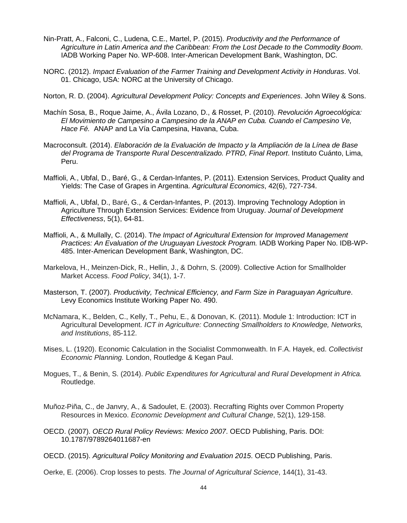- Nin-Pratt, A., Falconi, C., Ludena, C.E., Martel, P. (2015). *Productivity and the Performance of Agriculture in Latin America and the Caribbean: From the Lost Decade to the Commodity Boom*. IADB Working Paper No. WP-608. Inter-American Development Bank, Washington, DC.
- NORC. (2012). *Impact Evaluation of the Farmer Training and Development Activity in Honduras*. Vol. 01. Chicago, USA: NORC at the University of Chicago.
- Norton, R. D. (2004). *Agricultural Development Policy: Concepts and Experiences*. John Wiley & Sons.
- Machín Sosa, B., Roque Jaime, A., Ávila Lozano, D., & Rosset, P. (2010). *Revolución Agroecológica: El Movimiento de Campesino a Campesino de la ANAP en Cuba. Cuando el Campesino Ve, Hace Fé.* ANAP and La Vía Campesina, Havana, Cuba.
- Macroconsult. (2014). *Elaboración de la Evaluación de Impacto y la Ampliación de la Línea de Base del Programa de Transporte Rural Descentralizado. PTRD, Final Report*. Instituto Cuánto, Lima, Peru.
- Maffioli, A., Ubfal, D., Baré, G., & Cerdan-Infantes, P. (2011). Extension Services, Product Quality and Yields: The Case of Grapes in Argentina. *Agricultural Economics*, 42(6), 727-734.
- Maffioli, A., Ubfal, D., Baré, G., & Cerdan-Infantes, P. (2013). Improving Technology Adoption in Agriculture Through Extension Services: Evidence from Uruguay. *Journal of Development Effectiveness*, 5(1), 64-81.
- Maffioli, A., & Mullally, C. (2014). T*he Impact of Agricultural Extension for Improved Management Practices: An Evaluation of the Uruguayan Livestock Program.* IADB Working Paper No. IDB-WP-485. Inter-American Development Bank, Washington, DC.
- Markelova, H., Meinzen-Dick, R., Hellin, J., & Dohrn, S. (2009). Collective Action for Smallholder Market Access. *Food Policy*, 34(1), 1-7.
- Masterson, T. (2007). *Productivity, Technical Efficiency, and Farm Size in Paraguayan Agriculture*. Levy Economics Institute Working Paper No. 490.
- McNamara, K., Belden, C., Kelly, T., Pehu, E., & Donovan, K. (2011). Module 1: Introduction: ICT in Agricultural Development. *ICT in Agriculture: Connecting Smallholders to Knowledge, Networks, and Institutions*, 85-112.
- Mises, L. (1920). Economic Calculation in the Socialist Commonwealth. In F.A. Hayek, ed. *Collectivist Economic Planning.* London, Routledge & Kegan Paul.
- Mogues, T., & Benin, S. (2014). *Public Expenditures for Agricultural and Rural Development in Africa.*  Routledge.
- Muñoz‐Piña, C., de Janvry, A., & Sadoulet, E. (2003). Recrafting Rights over Common Property Resources in Mexico. *Economic Development and Cultural Change*, 52(1), 129-158.
- OECD. (2007). *OECD Rural Policy Reviews: Mexico 2007*. OECD Publishing, Paris. DOI: 10.1787/9789264011687-en
- OECD. (2015). *Agricultural Policy Monitoring and Evaluation 2015*. OECD Publishing, Paris.
- Oerke, E. (2006). Crop losses to pests. *The Journal of Agricultural Science*, 144(1), 31-43.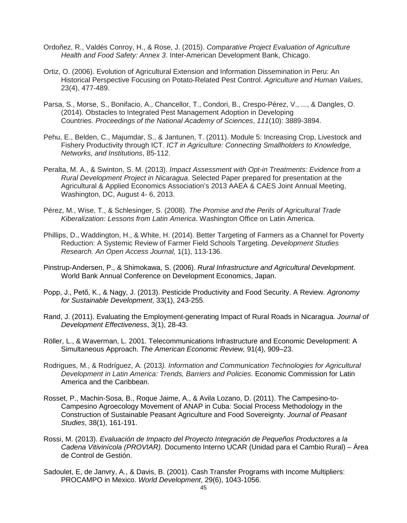- Ordoñez, R., Valdés Conroy, H., & Rose, J. (2015). *Comparative Project Evaluation of Agriculture Health and Food Safety: Annex 3*. Inter-American Development Bank, Chicago.
- Ortiz, O. (2006). Evolution of Agricultural Extension and Information Dissemination in Peru: An Historical Perspective Focusing on Potato-Related Pest Control. *Agriculture and Human Values*, 23(4), 477-489.
- Parsa, S., Morse, S., Bonifacio, A., Chancellor, T., Condori, B., Crespo-Pérez, V., ..., & Dangles, O. (2014). Obstacles to Integrated Pest Management Adoption in Developing Countries. *Proceedings of the National Academy of Sciences*, *111*(10): 3889-3894.
- Pehu, E., Belden, C., Majumdar, S., & Jantunen, T. (2011). Module 5: Increasing Crop, Livestock and Fishery Productivity through ICT. *ICT in Agriculture: Connecting Smallholders to Knowledge, Networks, and Institutions*, 85-112.
- Peralta, M. A., & Swinton, S. M. (2013). *Impact Assessment with Opt-in Treatments: Evidence from a Rural Development Project in Nicaragua*. Selected Paper prepared for presentation at the Agricultural & Applied Economics Association's 2013 AAEA & CAES Joint Annual Meeting, Washington, DC, August 4- 6, 2013.
- Pérez, M., Wise, T., & Schlesinger, S. (2008). *The Promise and the Perils of Agricultural Trade Kiberalization: Lessons from Latin America*. Washington Office on Latin America.
- Phillips, D., Waddington, H., & White, H. (2014). Better Targeting of Farmers as a Channel for Poverty Reduction: A Systemic Review of Farmer Field Schools Targeting. *Development Studies Research. An Open Access Journal,* 1(1), 113-136.
- Pinstrup-Andersen, P., & Shimokawa, S. (2006). *Rural Infrastructure and Agricultural Development*. World Bank Annual Conference on Development Economics, Japan.
- Popp, J., Pető, K., & Nagy, J. (2013). Pesticide Productivity and Food Security. A Review. *Agronomy for Sustainable Development*, 33(1), 243-255.
- Rand, J. (2011). Evaluating the Employment-generating Impact of Rural Roads in Nicaragua. *Journal of Development Effectiveness*, 3(1), 28-43.
- Röller, L., & Waverman, L. 2001. Telecommunications Infrastructure and Economic Development: A Simultaneous Approach. *The American Economic Review,* 91(4), 909–23.
- Rodrigues, M., & Rodríguez, A. (2013*). Information and Communication Technologies for Agricultural Development in Latin America: Trends, Barriers and Policies*. Economic Commission for Latin America and the Caribbean.
- Rosset, P., Machin-Sosa, B., Roque Jaime, A., & Avila Lozano, D. (2011). The Campesino-to-Campesino Agroecology Movement of ANAP in Cuba: Social Process Methodology in the Construction of Sustainable Peasant Agriculture and Food Sovereignty. *Journal of Peasant Studies*, 38(1), 161-191.
- Rossi, M. (2013). *Evaluación de Impacto del Proyecto Integración de Pequeños Productores a la Cadena Vitivinícola (PROVIAR).* Documento Interno UCAR (Unidad para el Cambio Rural) – Área de Control de Gestión.
- Sadoulet, E, de Janvry, A., & Davis, B. (2001). Cash Transfer Programs with Income Multipliers: PROCAMPO in Mexico. *World Development*, 29(6), 1043-1056.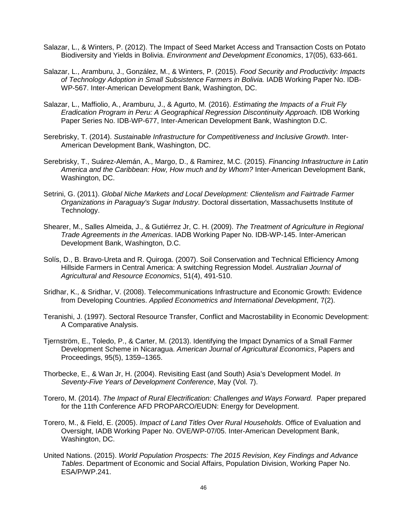- Salazar, L., & Winters, P. (2012). The Impact of Seed Market Access and Transaction Costs on Potato Biodiversity and Yields in Bolivia. *Environment and Development Economics*, 17(05), 633-661.
- Salazar, L., Aramburu, J., González, M., & Winters, P. (2015). *Food Security and Productivity: Impacts of Technology Adoption in Small Subsistence Farmers in Bolivia.* IADB Working Paper No. IDB-WP-567. Inter-American Development Bank, Washington, DC.
- Salazar, L., Maffiolio, A., Aramburu, J., & Agurto, M. (2016). *Estimating the Impacts of a Fruit Fly Eradication Program in Peru: A Geographical Regression Discontinuity Approach*. IDB Working Paper Series No. IDB-WP-677, Inter-American Development Bank, Washington D.C.
- Serebrisky, T. (2014). *Sustainable Infrastructure for Competitiveness and Inclusive Growth*. Inter-American Development Bank, Washington, DC.
- Serebrisky, T., Suárez-Alemán, A., Margo, D., & Ramirez, M.C. (2015). *Financing Infrastructure in Latin America and the Caribbean: How, How much and by Whom?* Inter-American Development Bank, Washington, DC.
- Setrini, G. (2011). *Global Niche Markets and Local Development: Clientelism and Fairtrade Farmer Organizations in Paraguay's Sugar Industry*. Doctoral dissertation, Massachusetts Institute of Technology.
- Shearer, M., Salles Almeida, J., & Gutiérrez Jr, C. H. (2009). *The Treatment of Agriculture in Regional Trade Agreements in the Americas*. IADB Working Paper No. IDB-WP-145. Inter-American Development Bank, Washington, D.C.
- Solís, D., B. Bravo-Ureta and R. Quiroga. (2007). Soil Conservation and Technical Efficiency Among Hillside Farmers in Central America: A switching Regression Model. *Australian Journal of Agricultural and Resource Economics*, 51(4), 491-510.
- Sridhar, K., & Sridhar, V. (2008). Telecommunications Infrastructure and Economic Growth: Evidence from Developing Countries. *Applied Econometrics and International Development*, 7(2).
- Teranishi, J. (1997). Sectoral Resource Transfer, Conflict and Macrostability in Economic Development: A Comparative Analysis.
- Tjernström, E., Toledo, P., & Carter, M. (2013). Identifying the Impact Dynamics of a Small Farmer Development Scheme in Nicaragua. *American Journal of Agricultural Economics*, Papers and Proceedings, 95(5), 1359–1365.
- Thorbecke, E., & Wan Jr, H. (2004). Revisiting East (and South) Asia's Development Model. *In Seventy-Five Years of Development Conference*, May (Vol. 7).
- Torero, M. (2014). *The Impact of Rural Electrification: Challenges and Ways Forward.* Paper prepared for the 11th Conference AFD PROPARCO/EUDN: Energy for Development.
- Torero, M., & Field, E. (2005). *Impact of Land Titles Over Rural Households*. Office of Evaluation and Oversight, IADB Working Paper No. OVE/WP-07/05. Inter-American Development Bank, Washington, DC.
- United Nations. (2015). *World Population Prospects: The 2015 Revision, Key Findings and Advance Tables*. Department of Economic and Social Affairs, Population Division, Working Paper No. ESA/P/WP.241.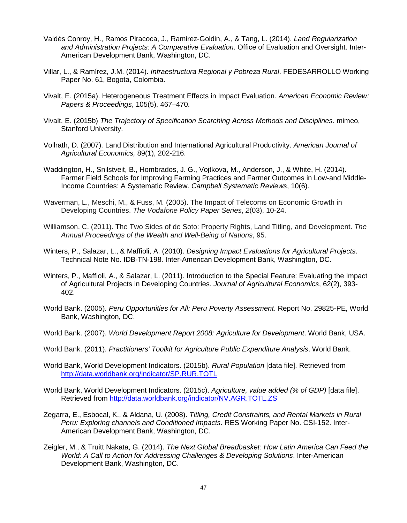- Valdés Conroy, H., Ramos Piracoca, J., Ramirez-Goldin, A., & Tang, L. (2014). *Land Regularization and Administration Projects: A Comparative Evaluation*. Office of Evaluation and Oversight. Inter-American Development Bank, Washington, DC.
- Villar, L., & Ramírez, J.M. (2014). *Infraestructura Regional y Pobreza Rural*. FEDESARROLLO Working Paper No. 61, Bogota, Colombia.
- Vivalt, E. (2015a). Heterogeneous Treatment Effects in Impact Evaluation. *American Economic Review: Papers & Proceedings*, 105(5), 467–470.
- Vivalt, E. (2015b) *The Trajectory of Specification Searching Across Methods and Disciplines*. mimeo, Stanford University.
- Vollrath, D. (2007). Land Distribution and International Agricultural Productivity. *American Journal of Agricultural Economics,* 89(1), 202-216.
- Waddington, H., Snilstveit, B., Hombrados, J. G., Vojtkova, M., Anderson, J., & White, H. (2014). Farmer Field Schools for Improving Farming Practices and Farmer Outcomes in Low-and Middle-Income Countries: A Systematic Review. *Campbell Systematic Reviews*, 10(6).
- Waverman, L., Meschi, M., & Fuss, M. (2005). The Impact of Telecoms on Economic Growth in Developing Countries. *The Vodafone Policy Paper Series*, *2*(03), 10-24.
- Williamson, C. (2011). The Two Sides of de Soto: Property Rights, Land Titling, and Development. *The Annual Proceedings of the Wealth and Well-Being of Nations*, 95.
- Winters, P., Salazar, L., & Maffioli, A. (2010). *Designing Impact Evaluations for Agricultural Projects*. Technical Note No. IDB-TN-198. Inter-American Development Bank, Washington, DC.
- Winters, P., Maffioli, A., & Salazar, L. (2011). Introduction to the Special Feature: Evaluating the Impact of Agricultural Projects in Developing Countries. *Journal of Agricultural Economics*, 62(2), 393- 402.
- World Bank. (2005). *Peru Opportunities for All: Peru Poverty Assessment*. Report No. 29825-PE, World Bank, Washington, DC.
- World Bank. (2007). *World Development Report 2008: Agriculture for Development*. World Bank, USA.
- World Bank. (2011). *Practitioners' Toolkit for Agriculture Public Expenditure Analysis*. World Bank.
- World Bank, World Development Indicators. (2015b). *Rural Population* [data file]. Retrieved from <http://data.worldbank.org/indicator/SP.RUR.TOTL>
- World Bank, World Development Indicators. (2015c). *Agriculture, value added (% of GDP)* [data file]. Retrieved from<http://data.worldbank.org/indicator/NV.AGR.TOTL.ZS>
- Zegarra, E., Esbocal, K., & Aldana, U. (2008). *Titling, Credit Constraints, and Rental Markets in Rural Peru: Exploring channels and Conditioned Impacts*. RES Working Paper No. CSI-152. Inter-American Development Bank, Washington, DC.
- Zeigler, M., & Truitt Nakata, G. (2014). *The Next Global Breadbasket: How Latin America Can Feed the World: A Call to Action for Addressing Challenges & Developing Solutions*. Inter-American Development Bank, Washington, DC.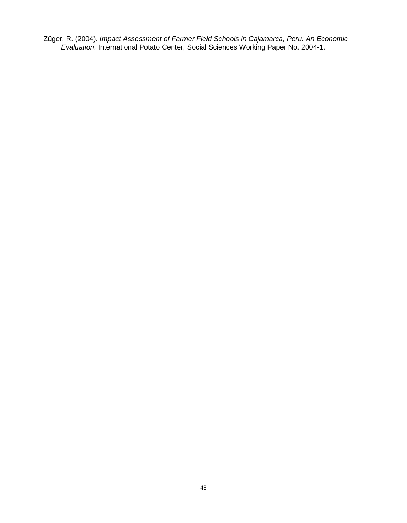Züger, R. (2004). *Impact Assessment of Farmer Field Schools in Cajamarca, Peru: An Economic Evaluation.* International Potato Center, Social Sciences Working Paper No. 2004-1.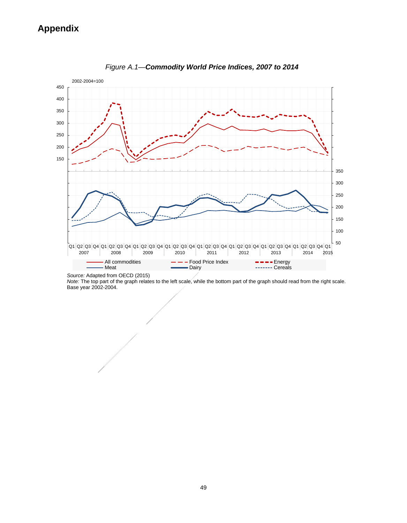

*Figure A.1—Commodity World Price Indices, 2007 to 2014*

*Source:* Adapted from OECD (2015)

*Note:* The top part of the graph relates to the left scale, while the bottom part of the graph should read from the right scale. Base year 2002-2004.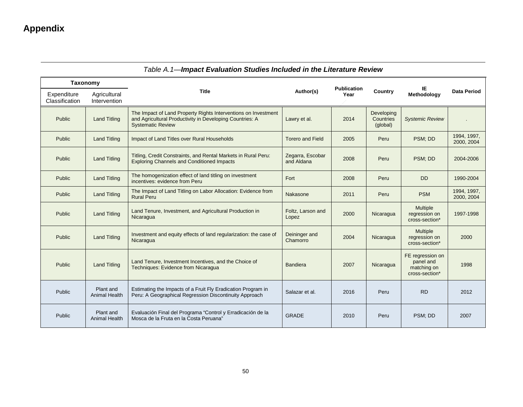| Taxonomy                      |                                   |                                                                                                                                                        |                                |                            |                                     |                                                                |                           |
|-------------------------------|-----------------------------------|--------------------------------------------------------------------------------------------------------------------------------------------------------|--------------------------------|----------------------------|-------------------------------------|----------------------------------------------------------------|---------------------------|
| Expenditure<br>Classification | Agricultural<br>Intervention      | <b>Title</b>                                                                                                                                           | Author(s)                      | <b>Publication</b><br>Year | Country                             | IE<br>Methodology                                              | <b>Data Period</b>        |
| Public                        | <b>Land Titling</b>               | The Impact of Land Property Rights Interventions on Investment<br>and Agricultural Productivity in Developing Countries: A<br><b>Systematic Review</b> | Lawry et al.                   | 2014                       | Developing<br>Countries<br>(global) | <b>Systemic Review</b>                                         |                           |
| Public                        | <b>Land Titling</b>               | Impact of Land Titles over Rural Households                                                                                                            | <b>Torero and Field</b>        | 2005                       | Peru                                | PSM; DD                                                        | 1994, 1997,<br>2000, 2004 |
| Public                        | <b>Land Titling</b>               | Titling, Credit Constraints, and Rental Markets in Rural Peru:<br><b>Exploring Channels and Conditioned Impacts</b>                                    | Zegarra, Escobar<br>and Aldana | 2008                       | Peru                                | PSM; DD                                                        | 2004-2006                 |
| Public                        | <b>Land Titling</b>               | The homogenization effect of land titling on investment<br>incentives: evidence from Peru                                                              | Fort                           | 2008                       | Peru                                | <b>DD</b>                                                      | 1990-2004                 |
| Public                        | <b>Land Titling</b>               | The Impact of Land Titling on Labor Allocation: Evidence from<br><b>Rural Peru</b>                                                                     | Nakasone                       | 2011                       | Peru                                | <b>PSM</b>                                                     | 1994, 1997,<br>2000, 2004 |
| Public                        | <b>Land Titling</b>               | Land Tenure, Investment, and Agricultural Production in<br>Nicaragua                                                                                   | Foltz, Larson and<br>Lopez     | 2000                       | Nicaragua                           | Multiple<br>regression on<br>cross-section*                    | 1997-1998                 |
| Public                        | <b>Land Titling</b>               | Investment and equity effects of land regularization: the case of<br>Nicaragua                                                                         | Deininger and<br>Chamorro      | 2004                       | Nicaragua                           | <b>Multiple</b><br>regression on<br>cross-section*             | 2000                      |
| Public                        | <b>Land Titling</b>               | Land Tenure, Investment Incentives, and the Choice of<br>Techniques: Evidence from Nicaragua                                                           | <b>Bandiera</b>                | 2007                       | Nicaragua                           | FE regression on<br>panel and<br>matching on<br>cross-section* | 1998                      |
| Public                        | Plant and<br><b>Animal Health</b> | Estimating the Impacts of a Fruit Fly Eradication Program in<br>Peru: A Geographical Regression Discontinuity Approach                                 | Salazar et al.                 | 2016                       | Peru                                | <b>RD</b>                                                      | 2012                      |
| Public                        | Plant and<br>Animal Health        | Evaluación Final del Programa "Control y Erradicación de la<br>Mosca de la Fruta en la Costa Peruana"                                                  | <b>GRADE</b>                   | 2010                       | Peru                                | PSM: DD                                                        | 2007                      |

### *Table A.1—Impact Evaluation Studies Included in the Literature Review*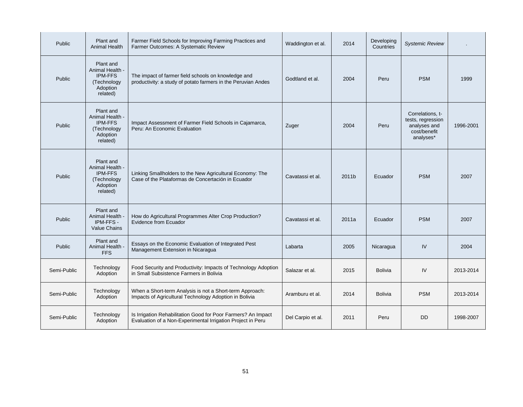| Public      | Plant and<br><b>Animal Health</b>                                                     | Farmer Field Schools for Improving Farming Practices and<br>Farmer Outcomes: A Systematic Review                             | Waddington et al. | 2014  | Developing<br>Countries | <b>Systemic Review</b>                                                             |           |
|-------------|---------------------------------------------------------------------------------------|------------------------------------------------------------------------------------------------------------------------------|-------------------|-------|-------------------------|------------------------------------------------------------------------------------|-----------|
| Public      | Plant and<br>Animal Health -<br><b>IPM-FFS</b><br>(Technology<br>Adoption<br>related) | The impact of farmer field schools on knowledge and<br>productivity: a study of potato farmers in the Peruvian Andes         | Godtland et al.   | 2004  | Peru                    | <b>PSM</b>                                                                         | 1999      |
| Public      | Plant and<br>Animal Health -<br><b>IPM-FFS</b><br>(Technology<br>Adoption<br>related) | Impact Assessment of Farmer Field Schools in Cajamarca,<br>Peru: An Economic Evaluation                                      | Zuger             | 2004  | Peru                    | Correlations, t-<br>tests, regression<br>analyses and<br>cost/benefit<br>analyses* | 1996-2001 |
| Public      | Plant and<br>Animal Health -<br><b>IPM-FFS</b><br>(Technology<br>Adoption<br>related) | Linking Smallholders to the New Agricultural Economy: The<br>Case of the Plataformas de Concertación in Ecuador              | Cavatassi et al.  | 2011b | Ecuador                 | <b>PSM</b>                                                                         | 2007      |
| Public      | Plant and<br>Animal Health<br>IPM-FFS-<br><b>Value Chains</b>                         | How do Agricultural Programmes Alter Crop Production?<br><b>Evidence from Ecuador</b>                                        | Cavatassi et al.  | 2011a | Ecuador                 | <b>PSM</b>                                                                         | 2007      |
| Public      | Plant and<br>Animal Health -<br><b>FFS</b>                                            | Essays on the Economic Evaluation of Integrated Pest<br>Management Extension in Nicaragua                                    | Labarta           | 2005  | Nicaragua               | IV                                                                                 | 2004      |
| Semi-Public | Technology<br>Adoption                                                                | Food Security and Productivity: Impacts of Technology Adoption<br>in Small Subsistence Farmers in Bolivia                    | Salazar et al.    | 2015  | <b>Bolivia</b>          | IV                                                                                 | 2013-2014 |
| Semi-Public | Technology<br>Adoption                                                                | When a Short-term Analysis is not a Short-term Approach:<br>Impacts of Agricultural Technology Adoption in Bolivia           | Aramburu et al.   | 2014  | <b>Bolivia</b>          | <b>PSM</b>                                                                         | 2013-2014 |
| Semi-Public | Technology<br>Adoption                                                                | Is Irrigation Rehabilitation Good for Poor Farmers? An Impact<br>Evaluation of a Non-Experimental Irrigation Project in Peru | Del Carpio et al. | 2011  | Peru                    | <b>DD</b>                                                                          | 1998-2007 |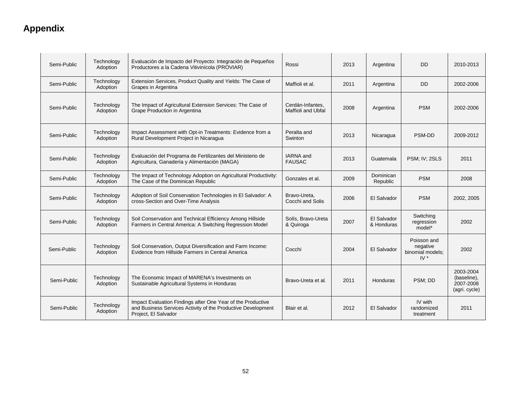| Semi-Public | Technology<br>Adoption | Evaluación de Impacto del Proyecto: Integración de Pequeños<br>Productores a la Cadena Vitivinícola (PROVIAR)                                       | Rossi                                  | 2013 | Argentina                 | <b>DD</b>                                             | 2010-2013                                              |
|-------------|------------------------|-----------------------------------------------------------------------------------------------------------------------------------------------------|----------------------------------------|------|---------------------------|-------------------------------------------------------|--------------------------------------------------------|
| Semi-Public | Technology<br>Adoption | Extension Services, Product Quality and Yields: The Case of<br>Grapes in Argentina                                                                  | Maffioli et al.                        | 2011 | Argentina                 | <b>DD</b>                                             | 2002-2006                                              |
| Semi-Public | Technology<br>Adoption | The Impact of Agricultural Extension Services: The Case of<br>Grape Production in Argentina                                                         | Cerdán-Infantes,<br>Maffioli and Ubfal | 2008 | Argentina                 | <b>PSM</b>                                            | 2002-2006                                              |
| Semi-Public | Technology<br>Adoption | Impact Assessment with Opt-in Treatments: Evidence from a<br>Rural Development Project in Nicaragua                                                 | Peralta and<br>Swinton                 | 2013 | Nicaragua                 | PSM-DD                                                | 2009-2012                                              |
| Semi-Public | Technology<br>Adoption | Evaluación del Programa de Fertilizantes del Ministerio de<br>Agricultura, Ganadería y Alimentación (MAGA)                                          | <b>IARNA</b> and<br><b>FAUSAC</b>      | 2013 | Guatemala                 | PSM; IV; 2SLS                                         | 2011                                                   |
| Semi-Public | Technology<br>Adoption | The Impact of Technology Adoption on Agricultural Productivity:<br>The Case of the Dominican Republic                                               | Gonzales et al.                        | 2009 | Dominican<br>Republic     | <b>PSM</b>                                            | 2008                                                   |
| Semi-Public | Technology<br>Adoption | Adoption of Soil Conservation Technologies in El Salvador: A<br>cross-Section and Over-Time Analysis                                                | Bravo-Ureta,<br>Cocchi and Solis       | 2006 | El Salvador               | <b>PSM</b>                                            | 2002, 2005                                             |
| Semi-Public | Technology<br>Adoption | Soil Conservation and Technical Efficiency Among Hillside<br>Farmers in Central America: A Switching Regression Model                               | Solís, Bravo-Ureta<br>& Quiroga        | 2007 | El Salvador<br>& Honduras | Switching<br>rearession<br>model*                     | 2002                                                   |
| Semi-Public | Technology<br>Adoption | Soil Conservation, Output Diversification and Farm Income:<br>Evidence from Hillside Farmers in Central America                                     | Cocchi                                 | 2004 | El Salvador               | Poisson and<br>negative<br>binomial models;<br>$IV^*$ | 2002                                                   |
| Semi-Public | Technology<br>Adoption | The Economic Impact of MARENA's Investments on<br>Sustainable Agricultural Systems in Honduras                                                      | Bravo-Ureta et al.                     | 2011 | Honduras                  | PSM; DD                                               | 2003-2004<br>(baseline),<br>2007-2008<br>(agri. cycle) |
| Semi-Public | Technology<br>Adoption | Impact Evaluation Findings after One Year of the Productive<br>and Business Services Activity of the Productive Development<br>Project, El Salvador | Blair et al.                           | 2012 | El Salvador               | IV with<br>randomized<br>treatment                    | 2011                                                   |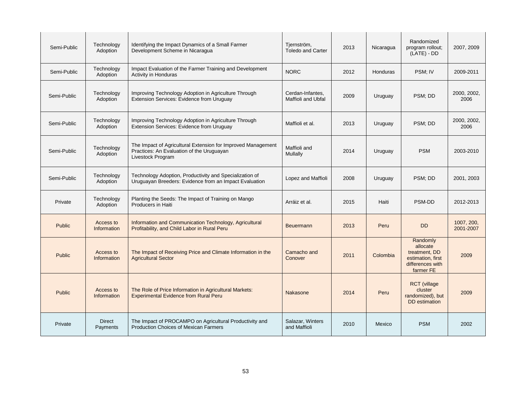| Semi-Public   | Technology<br>Adoption    | Identifying the Impact Dynamics of a Small Farmer<br>Development Scheme in Nicaragua                                           | Tjernström,<br><b>Toledo and Carter</b> | 2013 | Nicaragua       | Randomized<br>program rollout;<br>$(LATE) - DD$                                             | 2007, 2009              |
|---------------|---------------------------|--------------------------------------------------------------------------------------------------------------------------------|-----------------------------------------|------|-----------------|---------------------------------------------------------------------------------------------|-------------------------|
| Semi-Public   | Technology<br>Adoption    | Impact Evaluation of the Farmer Training and Development<br><b>Activity in Honduras</b>                                        | <b>NORC</b>                             | 2012 | <b>Honduras</b> | PSM; IV                                                                                     | 2009-2011               |
| Semi-Public   | Technology<br>Adoption    | Improving Technology Adoption in Agriculture Through<br>Extension Services: Evidence from Uruguay                              | Cerdan-Infantes.<br>Maffioli and Ubfal  | 2009 | Uruguay         | PSM; DD                                                                                     | 2000, 2002,<br>2006     |
| Semi-Public   | Technology<br>Adoption    | Improving Technology Adoption in Agriculture Through<br>Extension Services: Evidence from Uruguay                              | Maffioli et al.                         | 2013 | Uruguay         | PSM; DD                                                                                     | 2000, 2002,<br>2006     |
| Semi-Public   | Technology<br>Adoption    | The Impact of Agricultural Extension for Improved Management<br>Practices: An Evaluation of the Uruguayan<br>Livestock Program | Maffioli and<br>Mullally                | 2014 | Uruguay         | <b>PSM</b>                                                                                  | 2003-2010               |
| Semi-Public   | Technology<br>Adoption    | Technology Adoption, Productivity and Specialization of<br>Uruguayan Breeders: Evidence from an Impact Evaluation              | Lopez and Maffioli                      | 2008 | Uruguay         | PSM; DD                                                                                     | 2001, 2003              |
| Private       | Technology<br>Adoption    | Planting the Seeds: The Impact of Training on Mango<br>Producers in Haiti                                                      | Arráiz et al.                           | 2015 | Haiti           | PSM-DD                                                                                      | 2012-2013               |
| <b>Public</b> | Access to<br>Information  | Information and Communication Technology, Agricultural<br>Profitability, and Child Labor in Rural Peru                         | <b>Beuermann</b>                        | 2013 | Peru            | <b>DD</b>                                                                                   | 1007, 200,<br>2001-2007 |
| <b>Public</b> | Access to<br>Information  | The Impact of Receiving Price and Climate Information in the<br><b>Agricultural Sector</b>                                     | Camacho and<br>Conover                  | 2011 | Colombia        | Randomly<br>allocate<br>treatment, DD<br>estimation, first<br>differences with<br>farmer FE | 2009                    |
| <b>Public</b> | Access to<br>Information  | The Role of Price Information in Agricultural Markets:<br><b>Experimental Evidence from Rural Peru</b>                         | Nakasone                                | 2014 | Peru            | <b>RCT</b> (village<br>cluster<br>randomized), but<br>DD estimation                         | 2009                    |
| Private       | <b>Direct</b><br>Payments | The Impact of PROCAMPO on Agricultural Productivity and<br><b>Production Choices of Mexican Farmers</b>                        | Salazar, Winters<br>and Maffioli        | 2010 | Mexico          | <b>PSM</b>                                                                                  | 2002                    |